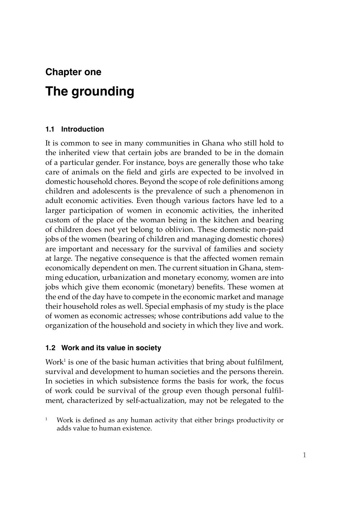# **Chapter one The grounding**

# **1.1 Introduction**

It is common to see in many communities in Ghana who still hold to the inherited view that certain jobs are branded to be in the domain of a particular gender. For instance, boys are generally those who take care of animals on the field and girls are expected to be involved in domestic household chores. Beyond the scope of role definitions among children and adolescents is the prevalence of such a phenomenon in adult economic activities. Even though various factors have led to a larger participation of women in economic activities, the inherited custom of the place of the woman being in the kitchen and bearing of children does not yet belong to oblivion. These domestic non-paid jobs of the women (bearing of children and managing domestic chores) are important and necessary for the survival of families and society at large. The negative consequence is that the affected women remain economically dependent on men. The current situation in Ghana, stemming education, urbanization and monetary economy, women are into jobs which give them economic (monetary) benefits. These women at the end of the day have to compete in the economic market and manage their household roles as well. Special emphasis of my study is the place of women as economic actresses; whose contributions add value to the organization of the household and society in which they live and work.

# **1.2 Work and its value in society**

Work $^1$  is one of the basic human activities that bring about fulfilment, survival and development to human societies and the persons therein. In societies in which subsistence forms the basis for work, the focus of work could be survival of the group even though personal fulfilment, characterized by self-actualization, may not be relegated to the

<sup>1</sup> Work is defined as any human activity that either brings productivity or adds value to human existence.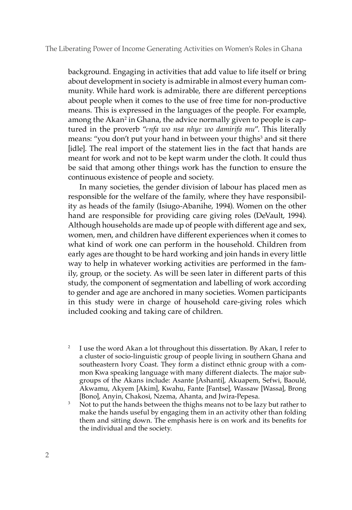#### The Liberating Power of Income Generating Activities on Women's Roles in Ghana

background. Engaging in activities that add value to life itself or bring about development in society is admirable in almost every human community. While hard work is admirable, there are different perceptions about people when it comes to the use of free time for non-productive means. This is expressed in the languages of the people. For example, among the Akan<sup>2</sup> in Ghana, the advice normally given to people is captured in the proverb "*ɛnfa wo nsa nhyɛ wo damirifa mu*". This literally means: "you don't put your hand in between your thighs<sup>3</sup> and sit there [idle]. The real import of the statement lies in the fact that hands are meant for work and not to be kept warm under the cloth. It could thus be said that among other things work has the function to ensure the continuous existence of people and society.

In many societies, the gender division of labour has placed men as responsible for the welfare of the family, where they have responsibility as heads of the family (Isiugo-Abanihe, 1994). Women on the other hand are responsible for providing care giving roles (DeVault, 1994). Although households are made up of people with different age and sex, women, men, and children have different experiences when it comes to what kind of work one can perform in the household. Children from early ages are thought to be hard working and join hands in every little way to help in whatever working activities are performed in the family, group, or the society. As will be seen later in different parts of this study, the component of segmentation and labelling of work according to gender and age are anchored in many societies. Women participants in this study were in charge of household care-giving roles which included cooking and taking care of children.

- <sup>2</sup> I use the word Akan a lot throughout this dissertation. By Akan, I refer to a cluster of socio-linguistic group of people living in southern Ghana and southeastern Ivory Coast. They form a distinct ethnic group with a common Kwa speaking language with many different dialects. The major subgroups of the Akans include: Asante [Ashanti], Akuapem, Sefwi, Baoulé, Akwamu, Akyem [Akim], Kwahu, Fante [Fantse], Wassaw [Wassa], Brong [Bono], Anyin, Chakosi, Nzema, Ahanta, and Jwira-Pepesa.
- <sup>3</sup> Not to put the hands between the thighs means not to be lazy but rather to make the hands useful by engaging them in an activity other than folding them and sitting down. The emphasis here is on work and its benefits for the individual and the society.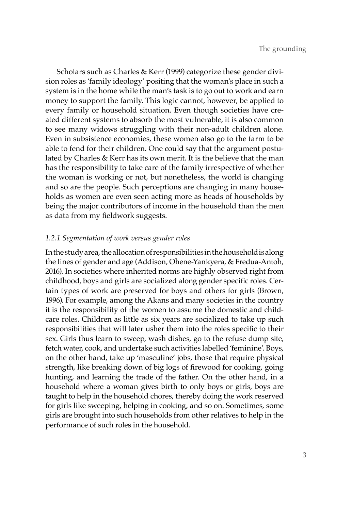Scholars such as Charles & Kerr (1999) categorize these gender division roles as 'family ideology' positing that the woman's place in such a system is in the home while the man's task is to go out to work and earn money to support the family. This logic cannot, however, be applied to every family or household situation. Even though societies have created different systems to absorb the most vulnerable, it is also common to see many widows struggling with their non-adult children alone. Even in subsistence economies, these women also go to the farm to be able to fend for their children. One could say that the argument postulated by Charles & Kerr has its own merit. It is the believe that the man has the responsibility to take care of the family irrespective of whether the woman is working or not, but nonetheless, the world is changing and so are the people. Such perceptions are changing in many households as women are even seen acting more as heads of households by being the major contributors of income in the household than the men as data from my fieldwork suggests.

# *1.2.1 Segmentation of work versus gender roles*

In the study area, the allocation of responsibilities in the household is along the lines of gender and age (Addison, Ohene-Yankyera, & Fredua-Antoh, 2016). In societies where inherited norms are highly observed right from childhood, boys and girls are socialized along gender specific roles. Certain types of work are preserved for boys and others for girls (Brown, 1996). For example, among the Akans and many societies in the country it is the responsibility of the women to assume the domestic and childcare roles. Children as little as six years are socialized to take up such responsibilities that will later usher them into the roles specific to their sex. Girls thus learn to sweep, wash dishes, go to the refuse dump site, fetch water, cook, and undertake such activities labelled 'feminine'. Boys, on the other hand, take up 'masculine' jobs, those that require physical strength, like breaking down of big logs of firewood for cooking, going hunting, and learning the trade of the father. On the other hand, in a household where a woman gives birth to only boys or girls, boys are taught to help in the household chores, thereby doing the work reserved for girls like sweeping, helping in cooking, and so on. Sometimes, some girls are brought into such households from other relatives to help in the performance of such roles in the household.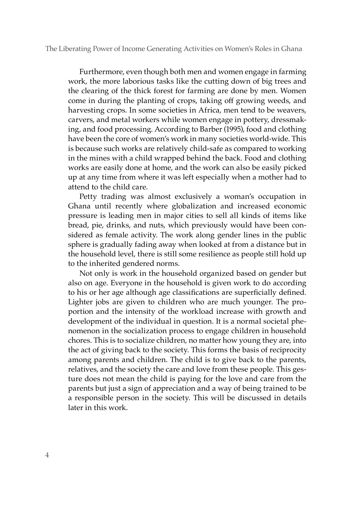#### The Liberating Power of Income Generating Activities on Women's Roles in Ghana

Furthermore, even though both men and women engage in farming work, the more laborious tasks like the cutting down of big trees and the clearing of the thick forest for farming are done by men. Women come in during the planting of crops, taking off growing weeds, and harvesting crops. In some societies in Africa, men tend to be weavers, carvers, and metal workers while women engage in pottery, dressmaking, and food processing. According to Barber (1995), food and clothing have been the core of women's work in many societies world-wide. This is because such works are relatively child-safe as compared to working in the mines with a child wrapped behind the back. Food and clothing works are easily done at home, and the work can also be easily picked up at any time from where it was left especially when a mother had to attend to the child care.

Petty trading was almost exclusively a woman's occupation in Ghana until recently where globalization and increased economic pressure is leading men in major cities to sell all kinds of items like bread, pie, drinks, and nuts, which previously would have been considered as female activity. The work along gender lines in the public sphere is gradually fading away when looked at from a distance but in the household level, there is still some resilience as people still hold up to the inherited gendered norms.

Not only is work in the household organized based on gender but also on age. Everyone in the household is given work to do according to his or her age although age classifications are superficially defined. Lighter jobs are given to children who are much younger. The proportion and the intensity of the workload increase with growth and development of the individual in question. It is a normal societal phenomenon in the socialization process to engage children in household chores. This is to socialize children, no matter how young they are, into the act of giving back to the society. This forms the basis of reciprocity among parents and children. The child is to give back to the parents, relatives, and the society the care and love from these people. This gesture does not mean the child is paying for the love and care from the parents but just a sign of appreciation and a way of being trained to be a responsible person in the society. This will be discussed in details later in this work.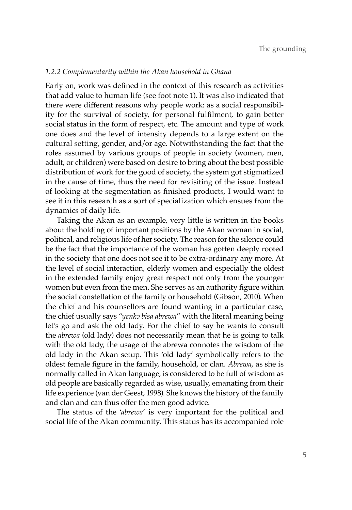#### *1.2.2 Complementarity within the Akan household in Ghana*

Early on, work was defined in the context of this research as activities that add value to human life (see foot note 1). It was also indicated that there were different reasons why people work: as a social responsibility for the survival of society, for personal fulfilment, to gain better social status in the form of respect, etc. The amount and type of work one does and the level of intensity depends to a large extent on the cultural setting, gender, and/or age. Notwithstanding the fact that the roles assumed by various groups of people in society (women, men, adult, or children) were based on desire to bring about the best possible distribution of work for the good of society, the system got stigmatized in the cause of time, thus the need for revisiting of the issue. Instead of looking at the segmentation as finished products, I would want to see it in this research as a sort of specialization which ensues from the dynamics of daily life.

Taking the Akan as an example, very little is written in the books about the holding of important positions by the Akan woman in social, political, and religious life of her society. The reason for the silence could be the fact that the importance of the woman has gotten deeply rooted in the society that one does not see it to be extra-ordinary any more. At the level of social interaction, elderly women and especially the oldest in the extended family enjoy great respect not only from the younger women but even from the men. She serves as an authority figure within the social constellation of the family or household (Gibson, 2010). When the chief and his counsellors are found wanting in a particular case, the chief usually says "*yɛnkɔ bisa abrewa*" with the literal meaning being let's go and ask the old lady. For the chief to say he wants to consult the *abrewa* (old lady) does not necessarily mean that he is going to talk with the old lady, the usage of the abrewa connotes the wisdom of the old lady in the Akan setup. This 'old lady' symbolically refers to the oldest female figure in the family, household, or clan. *Abrewa*, as she is normally called in Akan language, is considered to be full of wisdom as old people are basically regarded as wise, usually, emanating from their life experience (van der Geest, 1998). She knows the history of the family and clan and can thus offer the men good advice.

The status of the '*abrewa*' is very important for the political and social life of the Akan community. This status has its accompanied role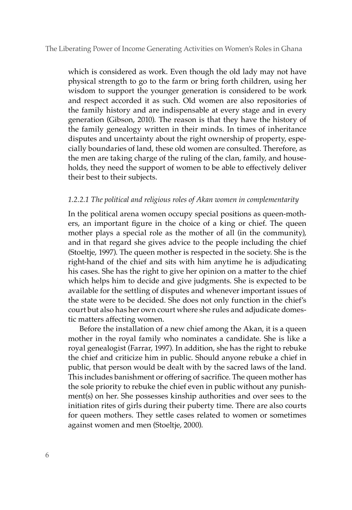which is considered as work. Even though the old lady may not have physical strength to go to the farm or bring forth children, using her wisdom to support the younger generation is considered to be work and respect accorded it as such. Old women are also repositories of the family history and are indispensable at every stage and in every generation (Gibson, 2010). The reason is that they have the history of the family genealogy written in their minds. In times of inheritance disputes and uncertainty about the right ownership of property, especially boundaries of land, these old women are consulted. Therefore, as the men are taking charge of the ruling of the clan, family, and households, they need the support of women to be able to effectively deliver their best to their subjects.

## *1.2.2.1 The political and religious roles of Akan women in complementarity*

In the political arena women occupy special positions as queen-mothers, an important figure in the choice of a king or chief. The queen mother plays a special role as the mother of all (in the community), and in that regard she gives advice to the people including the chief (Stoeltje, 1997). The queen mother is respected in the society. She is the right-hand of the chief and sits with him anytime he is adjudicating his cases. She has the right to give her opinion on a matter to the chief which helps him to decide and give judgments. She is expected to be available for the settling of disputes and whenever important issues of the state were to be decided. She does not only function in the chief's court but also has her own court where she rules and adjudicate domestic matters affecting women.

Before the installation of a new chief among the Akan, it is a queen mother in the royal family who nominates a candidate. She is like a royal genealogist (Farrar, 1997). In addition, she has the right to rebuke the chief and criticize him in public. Should anyone rebuke a chief in public, that person would be dealt with by the sacred laws of the land. This includes banishment or offering of sacrifice. The queen mother has the sole priority to rebuke the chief even in public without any punishment(s) on her. She possesses kinship authorities and over sees to the initiation rites of girls during their puberty time. There are also courts for queen mothers. They settle cases related to women or sometimes against women and men (Stoeltje, 2000).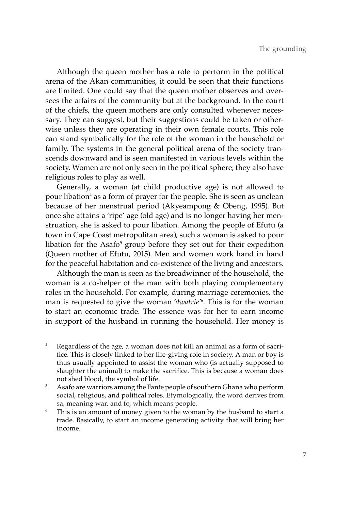Although the queen mother has a role to perform in the political arena of the Akan communities, it could be seen that their functions are limited. One could say that the queen mother observes and oversees the affairs of the community but at the background. In the court of the chiefs, the queen mothers are only consulted whenever necessary. They can suggest, but their suggestions could be taken or otherwise unless they are operating in their own female courts. This role can stand symbolically for the role of the woman in the household or family. The systems in the general political arena of the society transcends downward and is seen manifested in various levels within the society. Women are not only seen in the political sphere; they also have religious roles to play as well.

Generally, a woman (at child productive age) is not allowed to pour libation<sup>4</sup> as a form of prayer for the people. She is seen as unclean because of her menstrual period (Akyeampong & Obeng, 1995). But once she attains a 'ripe' age (old age) and is no longer having her menstruation, she is asked to pour libation. Among the people of Efutu (a town in Cape Coast metropolitan area), such a woman is asked to pour libation for the Asafo<sup>5</sup> group before they set out for their expedition (Queen mother of Efutu, 2015). Men and women work hand in hand for the peaceful habitation and co-existence of the living and ancestors.

Although the man is seen as the breadwinner of the household, the woman is a co-helper of the man with both playing complementary roles in the household. For example, during marriage ceremonies, the man is requested to give the woman '*dwatrie'6* . This is for the woman to start an economic trade. The essence was for her to earn income in support of the husband in running the household. Her money is

- Regardless of the age, a woman does not kill an animal as a form of sacrifice. This is closely linked to her life-giving role in society. A man or boy is thus usually appointed to assist the woman who (is actually supposed to slaughter the animal) to make the sacrifice. This is because a woman does
- not shed blood, the symbol of life. 5 Asafo are warriors among the Fante people of southern Ghana who perform social, religious, and political roles. Etymologically, the word derives from sa, meaning war, and fo, which means people.
- <sup>6</sup> This is an amount of money given to the woman by the husband to start a trade. Basically, to start an income generating activity that will bring her income.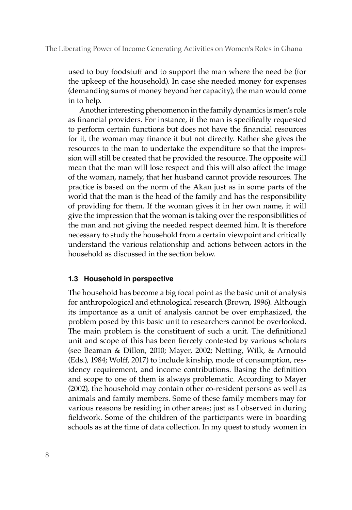used to buy foodstuff and to support the man where the need be (for the upkeep of the household). In case she needed money for expenses (demanding sums of money beyond her capacity), the man would come in to help.

Another interesting phenomenon in the family dynamics is men's role as financial providers. For instance, if the man is specifically requested to perform certain functions but does not have the financial resources for it, the woman may finance it but not directly. Rather she gives the resources to the man to undertake the expenditure so that the impression will still be created that he provided the resource. The opposite will mean that the man will lose respect and this will also affect the image of the woman, namely, that her husband cannot provide resources. The practice is based on the norm of the Akan just as in some parts of the world that the man is the head of the family and has the responsibility of providing for them. If the woman gives it in her own name, it will give the impression that the woman is taking over the responsibilities of the man and not giving the needed respect deemed him. It is therefore necessary to study the household from a certain viewpoint and critically understand the various relationship and actions between actors in the household as discussed in the section below.

#### **1.3 Household in perspective**

The household has become a big focal point as the basic unit of analysis for anthropological and ethnological research (Brown, 1996). Although its importance as a unit of analysis cannot be over emphasized, the problem posed by this basic unit to researchers cannot be overlooked. The main problem is the constituent of such a unit. The definitional unit and scope of this has been fiercely contested by various scholars (see Beaman & Dillon, 2010; Mayer, 2002; Netting, Wilk, & Arnould (Eds.), 1984; Wolff, 2017) to include kinship, mode of consumption, residency requirement, and income contributions. Basing the definition and scope to one of them is always problematic. According to Mayer (2002), the household may contain other co-resident persons as well as animals and family members. Some of these family members may for various reasons be residing in other areas; just as I observed in during fieldwork. Some of the children of the participants were in boarding schools as at the time of data collection. In my quest to study women in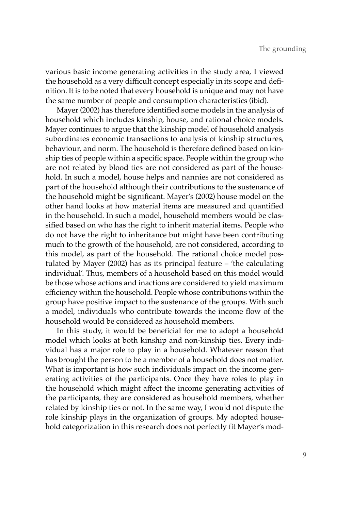various basic income generating activities in the study area, I viewed the household as a very difficult concept especially in its scope and definition. It is to be noted that every household is unique and may not have the same number of people and consumption characteristics (ibid).

Mayer (2002) has therefore identified some models in the analysis of household which includes kinship, house, and rational choice models. Mayer continues to argue that the kinship model of household analysis subordinates economic transactions to analysis of kinship structures, behaviour, and norm. The household is therefore defined based on kinship ties of people within a specific space. People within the group who are not related by blood ties are not considered as part of the household. In such a model, house helps and nannies are not considered as part of the household although their contributions to the sustenance of the household might be significant. Mayer's (2002) house model on the other hand looks at how material items are measured and quantified in the household. In such a model, household members would be classified based on who has the right to inherit material items. People who do not have the right to inheritance but might have been contributing much to the growth of the household, are not considered, according to this model, as part of the household. The rational choice model postulated by Mayer (2002) has as its principal feature – 'the calculating individual'. Thus, members of a household based on this model would be those whose actions and inactions are considered to yield maximum efficiency within the household. People whose contributions within the group have positive impact to the sustenance of the groups. With such a model, individuals who contribute towards the income flow of the household would be considered as household members.

In this study, it would be beneficial for me to adopt a household model which looks at both kinship and non-kinship ties. Every individual has a major role to play in a household. Whatever reason that has brought the person to be a member of a household does not matter. What is important is how such individuals impact on the income generating activities of the participants. Once they have roles to play in the household which might affect the income generating activities of the participants, they are considered as household members, whether related by kinship ties or not. In the same way, I would not dispute the role kinship plays in the organization of groups. My adopted household categorization in this research does not perfectly fit Mayer's mod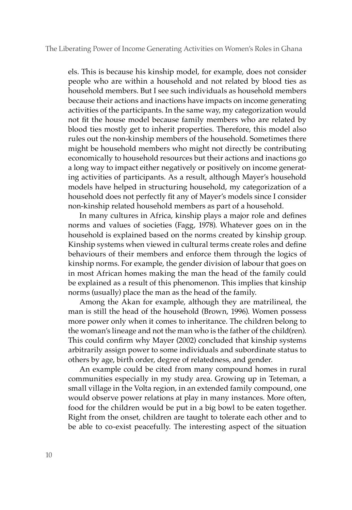els. This is because his kinship model, for example, does not consider people who are within a household and not related by blood ties as household members. But I see such individuals as household members because their actions and inactions have impacts on income generating activities of the participants. In the same way, my categorization would not fit the house model because family members who are related by blood ties mostly get to inherit properties. Therefore, this model also rules out the non-kinship members of the household. Sometimes there might be household members who might not directly be contributing economically to household resources but their actions and inactions go a long way to impact either negatively or positively on income generating activities of participants. As a result, although Mayer's household models have helped in structuring household, my categorization of a household does not perfectly fit any of Mayer's models since I consider non-kinship related household members as part of a household.

In many cultures in Africa, kinship plays a major role and defines norms and values of societies (Fagg, 1978). Whatever goes on in the household is explained based on the norms created by kinship group. Kinship systems when viewed in cultural terms create roles and define behaviours of their members and enforce them through the logics of kinship norms. For example, the gender division of labour that goes on in most African homes making the man the head of the family could be explained as a result of this phenomenon. This implies that kinship norms (usually) place the man as the head of the family.

Among the Akan for example, although they are matrilineal, the man is still the head of the household (Brown, 1996). Women possess more power only when it comes to inheritance. The children belong to the woman's lineage and not the man who is the father of the child(ren). This could confirm why Mayer (2002) concluded that kinship systems arbitrarily assign power to some individuals and subordinate status to others by age, birth order, degree of relatedness, and gender.

An example could be cited from many compound homes in rural communities especially in my study area. Growing up in Teteman, a small village in the Volta region, in an extended family compound, one would observe power relations at play in many instances. More often, food for the children would be put in a big bowl to be eaten together. Right from the onset, children are taught to tolerate each other and to be able to co-exist peacefully. The interesting aspect of the situation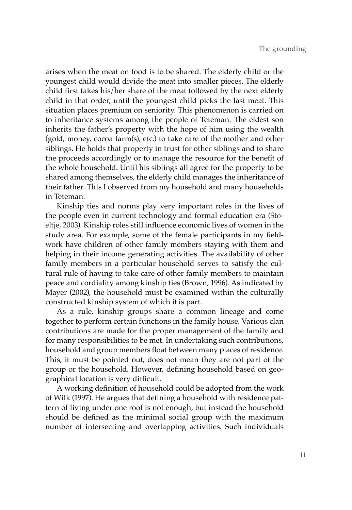arises when the meat on food is to be shared. The elderly child or the youngest child would divide the meat into smaller pieces. The elderly child first takes his/her share of the meat followed by the next elderly child in that order, until the youngest child picks the last meat. This situation places premium on seniority. This phenomenon is carried on to inheritance systems among the people of Teteman. The eldest son inherits the father's property with the hope of him using the wealth (gold, money, cocoa farm(s), etc.) to take care of the mother and other siblings. He holds that property in trust for other siblings and to share the proceeds accordingly or to manage the resource for the benefit of the whole household. Until his siblings all agree for the property to be shared among themselves, the elderly child manages the inheritance of their father. This I observed from my household and many households in Teteman.

Kinship ties and norms play very important roles in the lives of the people even in current technology and formal education era (Stoeltje, 2003). Kinship roles still influence economic lives of women in the study area. For example, some of the female participants in my fieldwork have children of other family members staying with them and helping in their income generating activities. The availability of other family members in a particular household serves to satisfy the cultural rule of having to take care of other family members to maintain peace and cordiality among kinship ties (Brown, 1996). As indicated by Mayer (2002), the household must be examined within the culturally constructed kinship system of which it is part.

As a rule, kinship groups share a common lineage and come together to perform certain functions in the family house. Various clan contributions are made for the proper management of the family and for many responsibilities to be met. In undertaking such contributions, household and group members float between many places of residence. This, it must be pointed out, does not mean they are not part of the group or the household. However, defining household based on geographical location is very difficult.

A working definition of household could be adopted from the work of Wilk (1997). He argues that defining a household with residence pattern of living under one roof is not enough, but instead the household should be defined as the minimal social group with the maximum number of intersecting and overlapping activities. Such individuals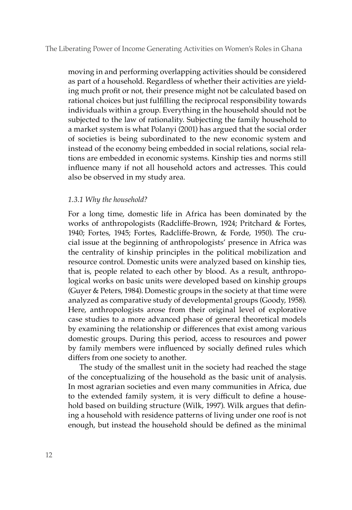moving in and performing overlapping activities should be considered as part of a household. Regardless of whether their activities are yielding much profit or not, their presence might not be calculated based on rational choices but just fulfilling the reciprocal responsibility towards individuals within a group. Everything in the household should not be subjected to the law of rationality. Subjecting the family household to a market system is what Polanyi (2001) has argued that the social order of societies is being subordinated to the new economic system and instead of the economy being embedded in social relations, social relations are embedded in economic systems. Kinship ties and norms still influence many if not all household actors and actresses. This could also be observed in my study area.

#### *1.3.1 Why the household?*

For a long time, domestic life in Africa has been dominated by the works of anthropologists (Radcliffe-Brown, 1924; Pritchard & Fortes, 1940; Fortes, 1945; Fortes, Radcliffe-Brown, & Forde, 1950). The crucial issue at the beginning of anthropologists' presence in Africa was the centrality of kinship principles in the political mobilization and resource control. Domestic units were analyzed based on kinship ties, that is, people related to each other by blood. As a result, anthropological works on basic units were developed based on kinship groups (Guyer & Peters, 1984). Domestic groups in the society at that time were analyzed as comparative study of developmental groups (Goody, 1958). Here, anthropologists arose from their original level of explorative case studies to a more advanced phase of general theoretical models by examining the relationship or differences that exist among various domestic groups. During this period, access to resources and power by family members were influenced by socially defined rules which differs from one society to another.

The study of the smallest unit in the society had reached the stage of the conceptualizing of the household as the basic unit of analysis. In most agrarian societies and even many communities in Africa, due to the extended family system, it is very difficult to define a household based on building structure (Wilk, 1997). Wilk argues that defining a household with residence patterns of living under one roof is not enough, but instead the household should be defined as the minimal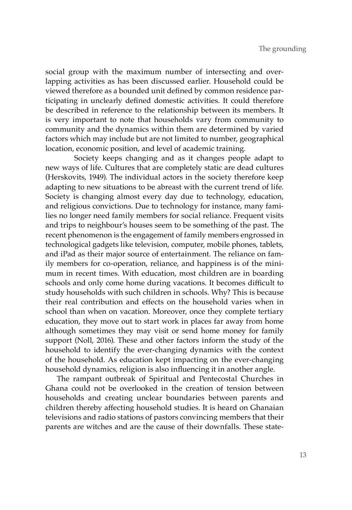social group with the maximum number of intersecting and overlapping activities as has been discussed earlier. Household could be viewed therefore as a bounded unit defined by common residence participating in unclearly defined domestic activities. It could therefore be described in reference to the relationship between its members. It is very important to note that households vary from community to community and the dynamics within them are determined by varied factors which may include but are not limited to number, geographical location, economic position, and level of academic training.

Society keeps changing and as it changes people adapt to new ways of life. Cultures that are completely static are dead cultures (Herskovits, 1949). The individual actors in the society therefore keep adapting to new situations to be abreast with the current trend of life. Society is changing almost every day due to technology, education, and religious convictions. Due to technology for instance, many families no longer need family members for social reliance. Frequent visits and trips to neighbour's houses seem to be something of the past. The recent phenomenon is the engagement of family members engrossed in technological gadgets like television, computer, mobile phones, tablets, and iPad as their major source of entertainment. The reliance on family members for co-operation, reliance, and happiness is of the minimum in recent times. With education, most children are in boarding schools and only come home during vacations. It becomes difficult to study households with such children in schools. Why? This is because their real contribution and effects on the household varies when in school than when on vacation. Moreover, once they complete tertiary education, they move out to start work in places far away from home although sometimes they may visit or send home money for family support (Noll, 2016). These and other factors inform the study of the household to identify the ever-changing dynamics with the context of the household. As education kept impacting on the ever-changing household dynamics, religion is also influencing it in another angle.

The rampant outbreak of Spiritual and Pentecostal Churches in Ghana could not be overlooked in the creation of tension between households and creating unclear boundaries between parents and children thereby affecting household studies. It is heard on Ghanaian televisions and radio stations of pastors convincing members that their parents are witches and are the cause of their downfalls. These state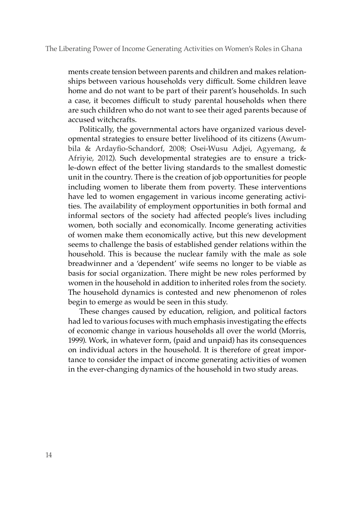ments create tension between parents and children and makes relationships between various households very difficult. Some children leave home and do not want to be part of their parent's households. In such a case, it becomes difficult to study parental households when there are such children who do not want to see their aged parents because of accused witchcrafts.

Politically, the governmental actors have organized various developmental strategies to ensure better livelihood of its citizens (Awumbila & Ardayfio-Schandorf, 2008; Osei-Wusu Adjei, Agyemang, & Afriyie, 2012). Such developmental strategies are to ensure a trickle-down effect of the better living standards to the smallest domestic unit in the country. There is the creation of job opportunities for people including women to liberate them from poverty. These interventions have led to women engagement in various income generating activities. The availability of employment opportunities in both formal and informal sectors of the society had affected people's lives including women, both socially and economically. Income generating activities of women make them economically active, but this new development seems to challenge the basis of established gender relations within the household. This is because the nuclear family with the male as sole breadwinner and a 'dependent' wife seems no longer to be viable as basis for social organization. There might be new roles performed by women in the household in addition to inherited roles from the society. The household dynamics is contested and new phenomenon of roles begin to emerge as would be seen in this study.

These changes caused by education, religion, and political factors had led to various focuses with much emphasis investigating the effects of economic change in various households all over the world (Morris, 1999). Work, in whatever form, (paid and unpaid) has its consequences on individual actors in the household. It is therefore of great importance to consider the impact of income generating activities of women in the ever-changing dynamics of the household in two study areas.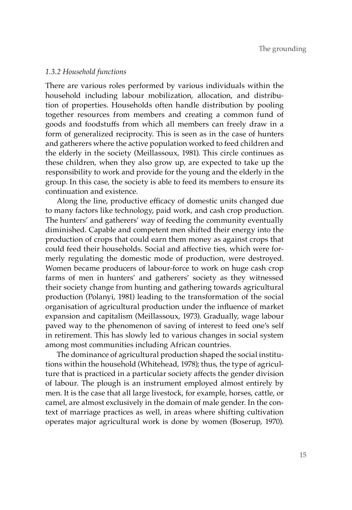#### *1.3.2 Household functions*

There are various roles performed by various individuals within the household including labour mobilization, allocation, and distribution of properties. Households often handle distribution by pooling together resources from members and creating a common fund of goods and foodstuffs from which all members can freely draw in a form of generalized reciprocity. This is seen as in the case of hunters and gatherers where the active population worked to feed children and the elderly in the society (Meillassoux, 1981). This circle continues as these children, when they also grow up, are expected to take up the responsibility to work and provide for the young and the elderly in the group. In this case, the society is able to feed its members to ensure its continuation and existence.

Along the line, productive efficacy of domestic units changed due to many factors like technology, paid work, and cash crop production. The hunters' and gatherers' way of feeding the community eventually diminished. Capable and competent men shifted their energy into the production of crops that could earn them money as against crops that could feed their households. Social and affective ties, which were formerly regulating the domestic mode of production, were destroyed. Women became producers of labour-force to work on huge cash crop farms of men in hunters' and gatherers' society as they witnessed their society change from hunting and gathering towards agricultural production (Polanyi, 1981) leading to the transformation of the social organisation of agricultural production under the influence of market expansion and capitalism (Meillassoux, 1973). Gradually, wage labour paved way to the phenomenon of saving of interest to feed one's self in retirement. This has slowly led to various changes in social system among most communities including African countries.

The dominance of agricultural production shaped the social institutions within the household (Whitehead, 1978); thus, the type of agriculture that is practiced in a particular society affects the gender division of labour. The plough is an instrument employed almost entirely by men. It is the case that all large livestock, for example, horses, cattle, or camel, are almost exclusively in the domain of male gender. In the context of marriage practices as well, in areas where shifting cultivation operates major agricultural work is done by women (Boserup, 1970).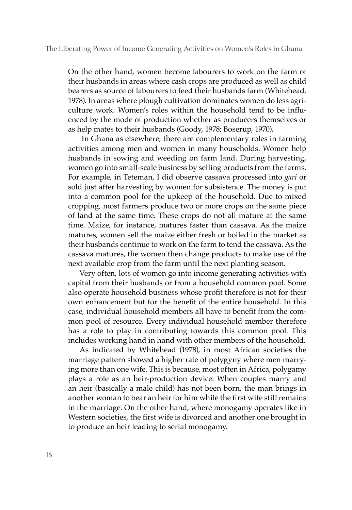On the other hand, women become labourers to work on the farm of their husbands in areas where cash crops are produced as well as child bearers as source of labourers to feed their husbands farm (Whitehead, 1978). In areas where plough cultivation dominates women do less agriculture work. Women's roles within the household tend to be influenced by the mode of production whether as producers themselves or as help mates to their husbands (Goody, 1978; Boserup, 1970).

 In Ghana as elsewhere, there are complementary roles in farming activities among men and women in many households. Women help husbands in sowing and weeding on farm land. During harvesting, women go into small-scale business by selling products from the farms. For example, in Teteman, I did observe cassava processed into *gari* or sold just after harvesting by women for subsistence. The money is put into a common pool for the upkeep of the household. Due to mixed cropping, most farmers produce two or more crops on the same piece of land at the same time. These crops do not all mature at the same time. Maize, for instance, matures faster than cassava. As the maize matures, women sell the maize either fresh or boiled in the market as their husbands continue to work on the farm to tend the cassava. As the cassava matures, the women then change products to make use of the next available crop from the farm until the next planting season.

Very often, lots of women go into income generating activities with capital from their husbands or from a household common pool. Some also operate household business whose profit therefore is not for their own enhancement but for the benefit of the entire household. In this case, individual household members all have to benefit from the common pool of resource. Every individual household member therefore has a role to play in contributing towards this common pool. This includes working hand in hand with other members of the household.

As indicated by Whitehead (1978), in most African societies the marriage pattern showed a higher rate of polygyny where men marrying more than one wife. This is because, most often in Africa, polygamy plays a role as an heir-production device. When couples marry and an heir (basically a male child) has not been born, the man brings in another woman to bear an heir for him while the first wife still remains in the marriage. On the other hand, where monogamy operates like in Western societies, the first wife is divorced and another one brought in to produce an heir leading to serial monogamy.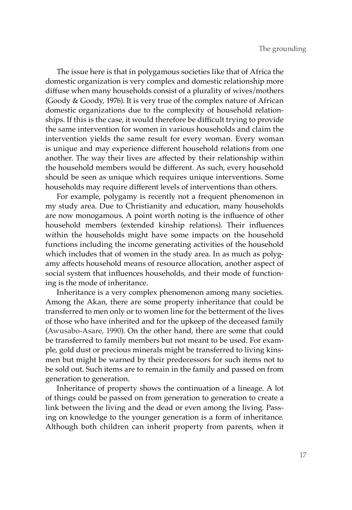The issue here is that in polygamous societies like that of Africa the domestic organization is very complex and domestic relationship more diffuse when many households consist of a plurality of wives/mothers (Goody & Goody, 1976). It is very true of the complex nature of African domestic organizations due to the complexity of household relationships. If this is the case, it would therefore be difficult trying to provide the same intervention for women in various households and claim the intervention yields the same result for every woman. Every woman is unique and may experience different household relations from one another. The way their lives are affected by their relationship within the household members would be different. As such, every household should be seen as unique which requires unique interventions. Some households may require different levels of interventions than others.

For example, polygamy is recently not a frequent phenomenon in my study area. Due to Christianity and education, many households are now monogamous. A point worth noting is the influence of other household members (extended kinship relations). Their influences within the households might have some impacts on the household functions including the income generating activities of the household which includes that of women in the study area. In as much as polygamy affects household means of resource allocation, another aspect of social system that influences households, and their mode of functioning is the mode of inheritance.

Inheritance is a very complex phenomenon among many societies. Among the Akan, there are some property inheritance that could be transferred to men only or to women line for the betterment of the lives of those who have inherited and for the upkeep of the deceased family (Awusabo-Asare, 1990). On the other hand, there are some that could be transferred to family members but not meant to be used. For example, gold dust or precious minerals might be transferred to living kinsmen but might be warned by their predecessors for such items not to be sold out. Such items are to remain in the family and passed on from generation to generation.

Inheritance of property shows the continuation of a lineage. A lot of things could be passed on from generation to generation to create a link between the living and the dead or even among the living. Passing on knowledge to the younger generation is a form of inheritance. Although both children can inherit property from parents, when it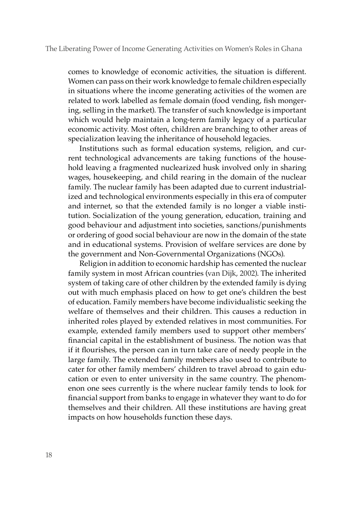comes to knowledge of economic activities, the situation is different. Women can pass on their work knowledge to female children especially in situations where the income generating activities of the women are related to work labelled as female domain (food vending, fish mongering, selling in the market). The transfer of such knowledge is important which would help maintain a long-term family legacy of a particular economic activity. Most often, children are branching to other areas of specialization leaving the inheritance of household legacies.

Institutions such as formal education systems, religion, and current technological advancements are taking functions of the household leaving a fragmented nuclearized husk involved only in sharing wages, housekeeping, and child rearing in the domain of the nuclear family. The nuclear family has been adapted due to current industrialized and technological environments especially in this era of computer and internet, so that the extended family is no longer a viable institution. Socialization of the young generation, education, training and good behaviour and adjustment into societies, sanctions/punishments or ordering of good social behaviour are now in the domain of the state and in educational systems. Provision of welfare services are done by the government and Non-Governmental Organizations (NGOs).

Religion in addition to economic hardship has cemented the nuclear family system in most African countries (van Dijk, 2002). The inherited system of taking care of other children by the extended family is dying out with much emphasis placed on how to get one's children the best of education. Family members have become individualistic seeking the welfare of themselves and their children. This causes a reduction in inherited roles played by extended relatives in most communities. For example, extended family members used to support other members' financial capital in the establishment of business. The notion was that if it flourishes, the person can in turn take care of needy people in the large family. The extended family members also used to contribute to cater for other family members' children to travel abroad to gain education or even to enter university in the same country. The phenomenon one sees currently is the where nuclear family tends to look for financial support from banks to engage in whatever they want to do for themselves and their children. All these institutions are having great impacts on how households function these days.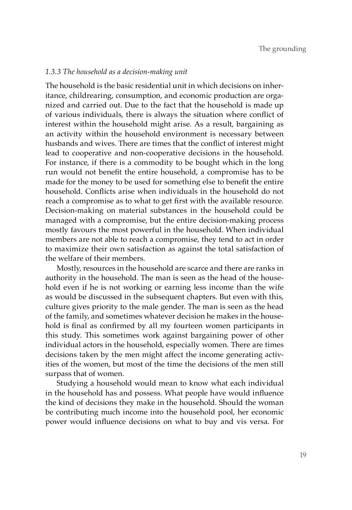## *1.3.3 The household as a decision-making unit*

The household is the basic residential unit in which decisions on inheritance, childrearing, consumption, and economic production are organized and carried out. Due to the fact that the household is made up of various individuals, there is always the situation where conflict of interest within the household might arise. As a result, bargaining as an activity within the household environment is necessary between husbands and wives. There are times that the conflict of interest might lead to cooperative and non-cooperative decisions in the household. For instance, if there is a commodity to be bought which in the long run would not benefit the entire household, a compromise has to be made for the money to be used for something else to benefit the entire household. Conflicts arise when individuals in the household do not reach a compromise as to what to get first with the available resource. Decision-making on material substances in the household could be managed with a compromise, but the entire decision-making process mostly favours the most powerful in the household. When individual members are not able to reach a compromise, they tend to act in order to maximize their own satisfaction as against the total satisfaction of the welfare of their members.

Mostly, resources in the household are scarce and there are ranks in authority in the household. The man is seen as the head of the household even if he is not working or earning less income than the wife as would be discussed in the subsequent chapters. But even with this, culture gives priority to the male gender. The man is seen as the head of the family, and sometimes whatever decision he makes in the household is final as confirmed by all my fourteen women participants in this study. This sometimes work against bargaining power of other individual actors in the household, especially women. There are times decisions taken by the men might affect the income generating activities of the women, but most of the time the decisions of the men still surpass that of women.

Studying a household would mean to know what each individual in the household has and possess. What people have would influence the kind of decisions they make in the household. Should the woman be contributing much income into the household pool, her economic power would influence decisions on what to buy and vis versa. For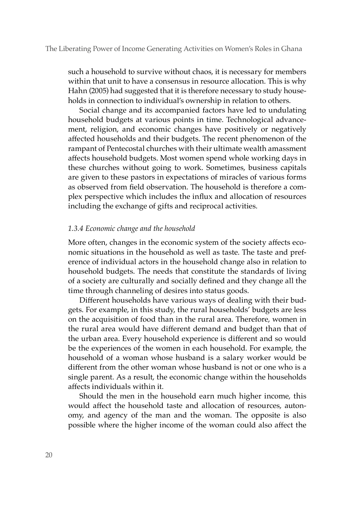such a household to survive without chaos, it is necessary for members within that unit to have a consensus in resource allocation. This is why Hahn (2005) had suggested that it is therefore necessary to study households in connection to individual's ownership in relation to others.

Social change and its accompanied factors have led to undulating household budgets at various points in time. Technological advancement, religion, and economic changes have positively or negatively affected households and their budgets. The recent phenomenon of the rampant of Pentecostal churches with their ultimate wealth amassment affects household budgets. Most women spend whole working days in these churches without going to work. Sometimes, business capitals are given to these pastors in expectations of miracles of various forms as observed from field observation. The household is therefore a complex perspective which includes the influx and allocation of resources including the exchange of gifts and reciprocal activities.

## *1.3.4 Economic change and the household*

More often, changes in the economic system of the society affects economic situations in the household as well as taste. The taste and preference of individual actors in the household change also in relation to household budgets. The needs that constitute the standards of living of a society are culturally and socially defined and they change all the time through channeling of desires into status goods.

Different households have various ways of dealing with their budgets. For example, in this study, the rural households' budgets are less on the acquisition of food than in the rural area. Therefore, women in the rural area would have different demand and budget than that of the urban area. Every household experience is different and so would be the experiences of the women in each household. For example, the household of a woman whose husband is a salary worker would be different from the other woman whose husband is not or one who is a single parent. As a result, the economic change within the households affects individuals within it.

Should the men in the household earn much higher income, this would affect the household taste and allocation of resources, autonomy, and agency of the man and the woman. The opposite is also possible where the higher income of the woman could also affect the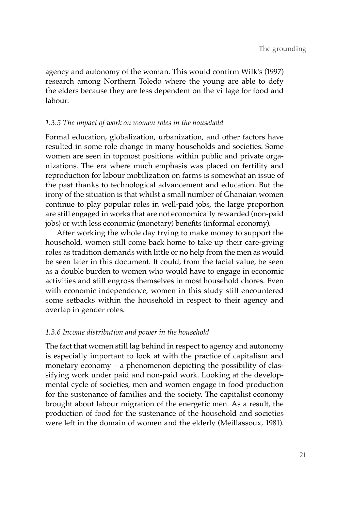agency and autonomy of the woman. This would confirm Wilk's (1997) research among Northern Toledo where the young are able to defy the elders because they are less dependent on the village for food and labour.

## *1.3.5 The impact of work on women roles in the household*

Formal education, globalization, urbanization, and other factors have resulted in some role change in many households and societies. Some women are seen in topmost positions within public and private organizations. The era where much emphasis was placed on fertility and reproduction for labour mobilization on farms is somewhat an issue of the past thanks to technological advancement and education. But the irony of the situation is that whilst a small number of Ghanaian women continue to play popular roles in well-paid jobs, the large proportion are still engaged in works that are not economically rewarded (non-paid jobs) or with less economic (monetary) benefits (informal economy).

After working the whole day trying to make money to support the household, women still come back home to take up their care-giving roles as tradition demands with little or no help from the men as would be seen later in this document. It could, from the facial value, be seen as a double burden to women who would have to engage in economic activities and still engross themselves in most household chores. Even with economic independence, women in this study still encountered some setbacks within the household in respect to their agency and overlap in gender roles.

## *1.3.6 Income distribution and power in the household*

The fact that women still lag behind in respect to agency and autonomy is especially important to look at with the practice of capitalism and monetary economy – a phenomenon depicting the possibility of classifying work under paid and non-paid work. Looking at the developmental cycle of societies, men and women engage in food production for the sustenance of families and the society. The capitalist economy brought about labour migration of the energetic men. As a result, the production of food for the sustenance of the household and societies were left in the domain of women and the elderly (Meillassoux, 1981).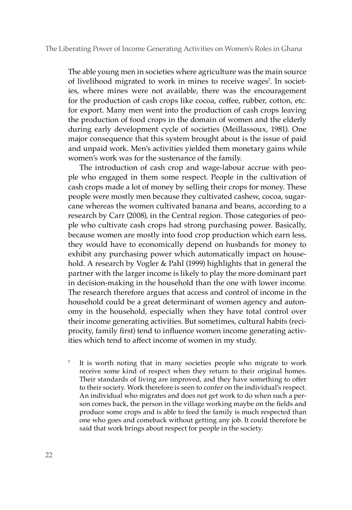The able young men in societies where agriculture was the main source of livelihood migrated to work in mines to receive wages<sup>7</sup>. In societies, where mines were not available, there was the encouragement for the production of cash crops like cocoa, coffee, rubber, cotton, etc. for export. Many men went into the production of cash crops leaving the production of food crops in the domain of women and the elderly during early development cycle of societies (Meillassoux, 1981). One major consequence that this system brought about is the issue of paid and unpaid work. Men's activities yielded them monetary gains while women's work was for the sustenance of the family.

The introduction of cash crop and wage-labour accrue with people who engaged in them some respect. People in the cultivation of cash crops made a lot of money by selling their crops for money. These people were mostly men because they cultivated cashew, cocoa, sugarcane whereas the women cultivated banana and beans, according to a research by Carr (2008), in the Central region. Those categories of people who cultivate cash crops had strong purchasing power. Basically, because women are mostly into food crop production which earn less, they would have to economically depend on husbands for money to exhibit any purchasing power which automatically impact on household. A research by Vogler & Pahl (1999) highlights that in general the partner with the larger income is likely to play the more dominant part in decision-making in the household than the one with lower income. The research therefore argues that access and control of income in the household could be a great determinant of women agency and autonomy in the household, especially when they have total control over their income generating activities. But sometimes, cultural habits (reciprocity, family first) tend to influence women income generating activities which tend to affect income of women in my study.

It is worth noting that in many societies people who migrate to work receive some kind of respect when they return to their original homes. Their standards of living are improved, and they have something to offer to their society. Work therefore is seen to confer on the individual's respect. An individual who migrates and does not get work to do when such a person comes back, the person in the village working maybe on the fields and produce some crops and is able to feed the family is much respected than one who goes and comeback without getting any job. It could therefore be said that work brings about respect for people in the society.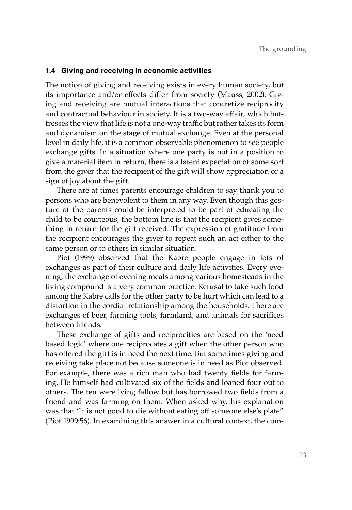## **1.4 Giving and receiving in economic activities**

The notion of giving and receiving exists in every human society, but its importance and/or effects differ from society (Mauss, 2002). Giving and receiving are mutual interactions that concretize reciprocity and contractual behaviour in society. It is a two-way affair, which buttresses the view that life is not a one-way traffic but rather takes its form and dynamism on the stage of mutual exchange. Even at the personal level in daily life, it is a common observable phenomenon to see people exchange gifts. In a situation where one party is not in a position to give a material item in return, there is a latent expectation of some sort from the giver that the recipient of the gift will show appreciation or a sign of joy about the gift.

There are at times parents encourage children to say thank you to persons who are benevolent to them in any way. Even though this gesture of the parents could be interpreted to be part of educating the child to be courteous, the bottom line is that the recipient gives something in return for the gift received. The expression of gratitude from the recipient encourages the giver to repeat such an act either to the same person or to others in similar situation.

Piot (1999) observed that the Kabre people engage in lots of exchanges as part of their culture and daily life activities. Every evening, the exchange of evening meals among various homesteads in the living compound is a very common practice. Refusal to take such food among the Kabre calls for the other party to be hurt which can lead to a distortion in the cordial relationship among the households. There are exchanges of beer, farming tools, farmland, and animals for sacrifices between friends.

These exchange of gifts and reciprocities are based on the 'need based logic' where one reciprocates a gift when the other person who has offered the gift is in need the next time. But sometimes giving and receiving take place not because someone is in need as Piot observed. For example, there was a rich man who had twenty fields for farming. He himself had cultivated six of the fields and loaned four out to others. The ten were lying fallow but has borrowed two fields from a friend and was farming on them. When asked why, his explanation was that "it is not good to die without eating off someone else's plate" (Piot 1999:56). In examining this answer in a cultural context, the com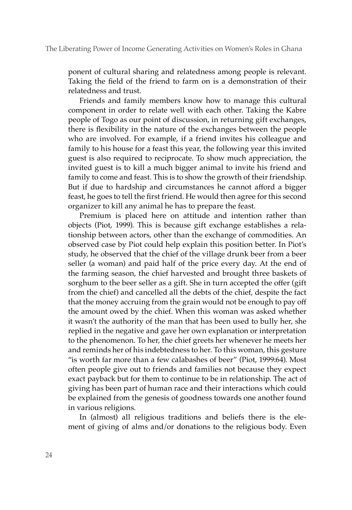ponent of cultural sharing and relatedness among people is relevant. Taking the field of the friend to farm on is a demonstration of their relatedness and trust.

Friends and family members know how to manage this cultural component in order to relate well with each other. Taking the Kabre people of Togo as our point of discussion, in returning gift exchanges, there is flexibility in the nature of the exchanges between the people who are involved. For example, if a friend invites his colleague and family to his house for a feast this year, the following year this invited guest is also required to reciprocate. To show much appreciation, the invited guest is to kill a much bigger animal to invite his friend and family to come and feast. This is to show the growth of their friendship. But if due to hardship and circumstances he cannot afford a bigger feast, he goes to tell the first friend. He would then agree for this second organizer to kill any animal he has to prepare the feast.

Premium is placed here on attitude and intention rather than objects (Piot, 1999). This is because gift exchange establishes a relationship between actors, other than the exchange of commodities. An observed case by Piot could help explain this position better. In Piot's study, he observed that the chief of the village drunk beer from a beer seller (a woman) and paid half of the price every day. At the end of the farming season, the chief harvested and brought three baskets of sorghum to the beer seller as a gift. She in turn accepted the offer (gift from the chief) and cancelled all the debts of the chief, despite the fact that the money accruing from the grain would not be enough to pay off the amount owed by the chief. When this woman was asked whether it wasn't the authority of the man that has been used to bully her, she replied in the negative and gave her own explanation or interpretation to the phenomenon. To her, the chief greets her whenever he meets her and reminds her of his indebtedness to her. To this woman, this gesture "is worth far more than a few calabashes of beer" (Piot, 1999:64). Most often people give out to friends and families not because they expect exact payback but for them to continue to be in relationship. The act of giving has been part of human race and their interactions which could be explained from the genesis of goodness towards one another found in various religions.

In (almost) all religious traditions and beliefs there is the element of giving of alms and/or donations to the religious body. Even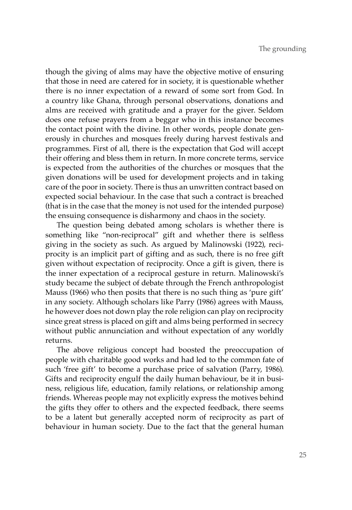though the giving of alms may have the objective motive of ensuring that those in need are catered for in society, it is questionable whether there is no inner expectation of a reward of some sort from God. In a country like Ghana, through personal observations, donations and alms are received with gratitude and a prayer for the giver. Seldom does one refuse prayers from a beggar who in this instance becomes the contact point with the divine. In other words, people donate generously in churches and mosques freely during harvest festivals and programmes. First of all, there is the expectation that God will accept their offering and bless them in return. In more concrete terms, service is expected from the authorities of the churches or mosques that the given donations will be used for development projects and in taking care of the poor in society. There is thus an unwritten contract based on expected social behaviour. In the case that such a contract is breached (that is in the case that the money is not used for the intended purpose) the ensuing consequence is disharmony and chaos in the society.

The question being debated among scholars is whether there is something like "non-reciprocal" gift and whether there is selfless giving in the society as such. As argued by Malinowski (1922), reciprocity is an implicit part of gifting and as such, there is no free gift given without expectation of reciprocity. Once a gift is given, there is the inner expectation of a reciprocal gesture in return. Malinowski's study became the subject of debate through the French anthropologist Mauss (1966) who then posits that there is no such thing as 'pure gift' in any society. Although scholars like Parry (1986) agrees with Mauss, he however does not down play the role religion can play on reciprocity since great stress is placed on gift and alms being performed in secrecy without public annunciation and without expectation of any worldly returns.

The above religious concept had boosted the preoccupation of people with charitable good works and had led to the common fate of such 'free gift' to become a purchase price of salvation (Parry, 1986). Gifts and reciprocity engulf the daily human behaviour, be it in business, religious life, education, family relations, or relationship among friends. Whereas people may not explicitly express the motives behind the gifts they offer to others and the expected feedback, there seems to be a latent but generally accepted norm of reciprocity as part of behaviour in human society. Due to the fact that the general human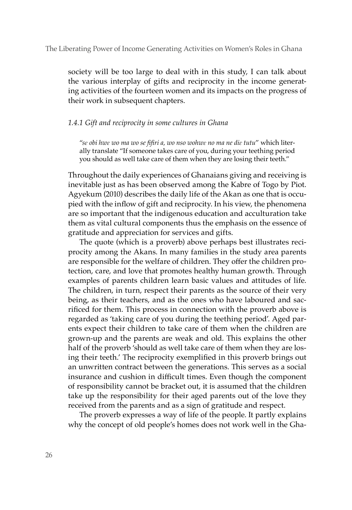society will be too large to deal with in this study, I can talk about the various interplay of gifts and reciprocity in the income generating activities of the fourteen women and its impacts on the progress of their work in subsequent chapters.

## *1.4.1 Gift and reciprocity in some cultures in Ghana*

"*sɛ obi hwɛ wo ma wo se fifiri a, wo nso wohwɛ no ma ne diɛ tutu*" which literally translate "If someone takes care of you, during your teething period you should as well take care of them when they are losing their teeth."

Throughout the daily experiences of Ghanaians giving and receiving is inevitable just as has been observed among the Kabre of Togo by Piot. Agyekum (2010) describes the daily life of the Akan as one that is occupied with the inflow of gift and reciprocity. In his view, the phenomena are so important that the indigenous education and acculturation take them as vital cultural components thus the emphasis on the essence of gratitude and appreciation for services and gifts.

The quote (which is a proverb) above perhaps best illustrates reciprocity among the Akans. In many families in the study area parents are responsible for the welfare of children. They offer the children protection, care, and love that promotes healthy human growth. Through examples of parents children learn basic values and attitudes of life. The children, in turn, respect their parents as the source of their very being, as their teachers, and as the ones who have laboured and sacrificed for them. This process in connection with the proverb above is regarded as 'taking care of you during the teething period'. Aged parents expect their children to take care of them when the children are grown-up and the parents are weak and old. This explains the other half of the proverb 'should as well take care of them when they are losing their teeth.' The reciprocity exemplified in this proverb brings out an unwritten contract between the generations. This serves as a social insurance and cushion in difficult times. Even though the component of responsibility cannot be bracket out, it is assumed that the children take up the responsibility for their aged parents out of the love they received from the parents and as a sign of gratitude and respect.

The proverb expresses a way of life of the people. It partly explains why the concept of old people's homes does not work well in the Gha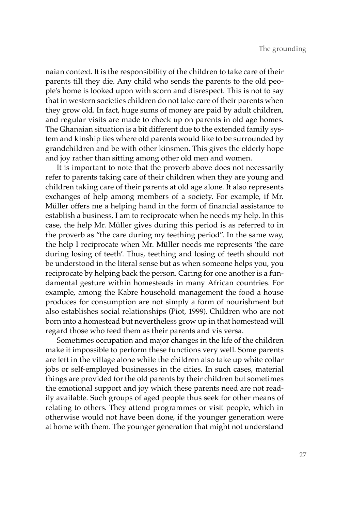naian context. It is the responsibility of the children to take care of their parents till they die. Any child who sends the parents to the old people's home is looked upon with scorn and disrespect. This is not to say that in western societies children do not take care of their parents when they grow old. In fact, huge sums of money are paid by adult children, and regular visits are made to check up on parents in old age homes. The Ghanaian situation is a bit different due to the extended family system and kinship ties where old parents would like to be surrounded by grandchildren and be with other kinsmen. This gives the elderly hope and joy rather than sitting among other old men and women.

It is important to note that the proverb above does not necessarily refer to parents taking care of their children when they are young and children taking care of their parents at old age alone. It also represents exchanges of help among members of a society. For example, if Mr. Müller offers me a helping hand in the form of financial assistance to establish a business, I am to reciprocate when he needs my help. In this case, the help Mr. Müller gives during this period is as referred to in the proverb as "the care during my teething period". In the same way, the help I reciprocate when Mr. Müller needs me represents 'the care during losing of teeth'. Thus, teething and losing of teeth should not be understood in the literal sense but as when someone helps you, you reciprocate by helping back the person. Caring for one another is a fundamental gesture within homesteads in many African countries. For example, among the Kabre household management the food a house produces for consumption are not simply a form of nourishment but also establishes social relationships (Piot, 1999). Children who are not born into a homestead but nevertheless grow up in that homestead will regard those who feed them as their parents and vis versa.

Sometimes occupation and major changes in the life of the children make it impossible to perform these functions very well. Some parents are left in the village alone while the children also take up white collar jobs or self-employed businesses in the cities. In such cases, material things are provided for the old parents by their children but sometimes the emotional support and joy which these parents need are not readily available. Such groups of aged people thus seek for other means of relating to others. They attend programmes or visit people, which in otherwise would not have been done, if the younger generation were at home with them. The younger generation that might not understand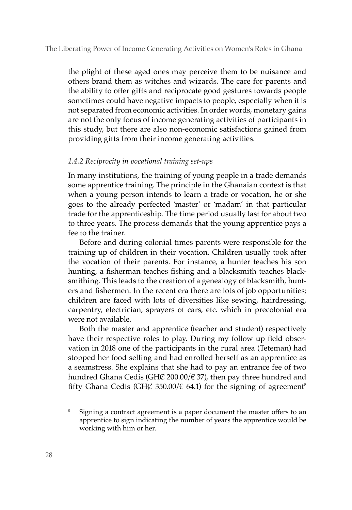the plight of these aged ones may perceive them to be nuisance and others brand them as witches and wizards. The care for parents and the ability to offer gifts and reciprocate good gestures towards people sometimes could have negative impacts to people, especially when it is not separated from economic activities. In order words, monetary gains are not the only focus of income generating activities of participants in this study, but there are also non-economic satisfactions gained from providing gifts from their income generating activities.

# *1.4.2 Reciprocity in vocational training set-ups*

In many institutions, the training of young people in a trade demands some apprentice training. The principle in the Ghanaian context is that when a young person intends to learn a trade or vocation, he or she goes to the already perfected 'master' or 'madam' in that particular trade for the apprenticeship. The time period usually last for about two to three years. The process demands that the young apprentice pays a fee to the trainer.

Before and during colonial times parents were responsible for the training up of children in their vocation. Children usually took after the vocation of their parents. For instance, a hunter teaches his son hunting, a fisherman teaches fishing and a blacksmith teaches blacksmithing. This leads to the creation of a genealogy of blacksmith, hunters and fishermen. In the recent era there are lots of job opportunities; children are faced with lots of diversities like sewing, hairdressing, carpentry, electrician, sprayers of cars, etc. which in precolonial era were not available.

Both the master and apprentice (teacher and student) respectively have their respective roles to play. During my follow up field observation in 2018 one of the participants in the rural area (Teteman) had stopped her food selling and had enrolled herself as an apprentice as a seamstress. She explains that she had to pay an entrance fee of two hundred Ghana Cedis (GH $\mathcal{C}$  200.00/ $\in$  37), then pay three hundred and fifty Ghana Cedis (GHC 350.00/ $\epsilon$  64.1) for the signing of agreement<sup>8</sup>

Signing a contract agreement is a paper document the master offers to an apprentice to sign indicating the number of years the apprentice would be working with him or her.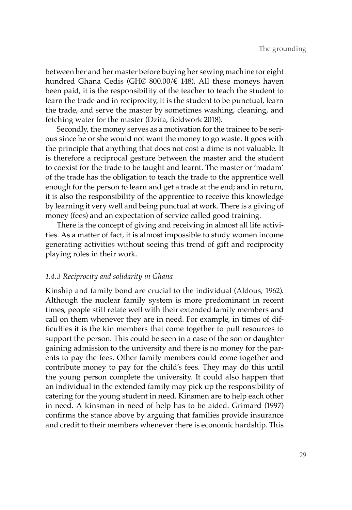between her and her master before buying her sewing machine for eight hundred Ghana Cedis (GHC 800.00/ $\in$  148). All these moneys haven been paid, it is the responsibility of the teacher to teach the student to learn the trade and in reciprocity, it is the student to be punctual, learn the trade, and serve the master by sometimes washing, cleaning, and fetching water for the master (Dzifa, fieldwork 2018).

Secondly, the money serves as a motivation for the trainee to be serious since he or she would not want the money to go waste. It goes with the principle that anything that does not cost a dime is not valuable. It is therefore a reciprocal gesture between the master and the student to coexist for the trade to be taught and learnt. The master or 'madam' of the trade has the obligation to teach the trade to the apprentice well enough for the person to learn and get a trade at the end; and in return, it is also the responsibility of the apprentice to receive this knowledge by learning it very well and being punctual at work. There is a giving of money (fees) and an expectation of service called good training.

There is the concept of giving and receiving in almost all life activities. As a matter of fact, it is almost impossible to study women income generating activities without seeing this trend of gift and reciprocity playing roles in their work.

## *1.4.3 Reciprocity and solidarity in Ghana*

Kinship and family bond are crucial to the individual (Aldous, 1962). Although the nuclear family system is more predominant in recent times, people still relate well with their extended family members and call on them whenever they are in need. For example, in times of difficulties it is the kin members that come together to pull resources to support the person. This could be seen in a case of the son or daughter gaining admission to the university and there is no money for the parents to pay the fees. Other family members could come together and contribute money to pay for the child's fees. They may do this until the young person complete the university. It could also happen that an individual in the extended family may pick up the responsibility of catering for the young student in need. Kinsmen are to help each other in need. A kinsman in need of help has to be aided. Grimard (1997) confirms the stance above by arguing that families provide insurance and credit to their members whenever there is economic hardship. This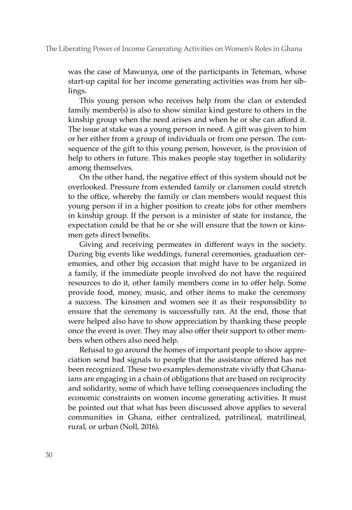#### The Liberating Power of Income Generating Activities on Women's Roles in Ghana

was the case of Mawunya, one of the participants in Teteman, whose start-up capital for her income generating activities was from her siblings.

This young person who receives help from the clan or extended family member(s) is also to show similar kind gesture to others in the kinship group when the need arises and when he or she can afford it. The issue at stake was a young person in need. A gift was given to him or her either from a group of individuals or from one person. The consequence of the gift to this young person, however, is the provision of help to others in future. This makes people stay together in solidarity among themselves.

On the other hand, the negative effect of this system should not be overlooked. Pressure from extended family or clansmen could stretch to the office, whereby the family or clan members would request this young person if in a higher position to create jobs for other members in kinship group. If the person is a minister of state for instance, the expectation could be that he or she will ensure that the town or kinsmen gets direct benefits.

Giving and receiving permeates in different ways in the society. During big events like weddings, funeral ceremonies, graduation ceremonies, and other big occasion that might have to be organized in a family, if the immediate people involved do not have the required resources to do it, other family members come in to offer help. Some provide food, money, music, and other items to make the ceremony a success. The kinsmen and women see it as their responsibility to ensure that the ceremony is successfully ran. At the end, those that were helped also have to show appreciation by thanking these people once the event is over. They may also offer their support to other members when others also need help.

Refusal to go around the homes of important people to show appreciation send bad signals to people that the assistance offered has not been recognized. These two examples demonstrate vividly that Ghanaians are engaging in a chain of obligations that are based on reciprocity and solidarity, some of which have telling consequences including the economic constraints on women income generating activities. It must be pointed out that what has been discussed above applies to several communities in Ghana, either centralized, patrilineal, matrilineal, rural, or urban (Noll, 2016).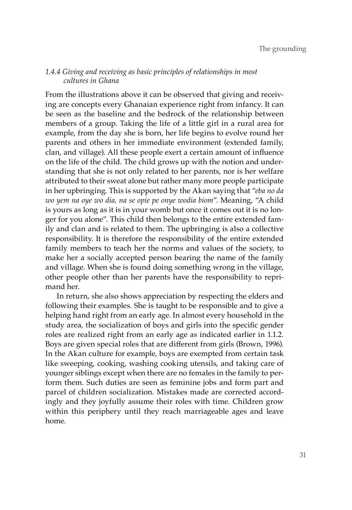# *1.4.4 Giving and receiving as basic principles of relationships in most cultures in Ghana*

From the illustrations above it can be observed that giving and receiving are concepts every Ghanaian experience right from infancy. It can be seen as the baseline and the bedrock of the relationship between members of a group. Taking the life of a little girl in a rural area for example, from the day she is born, her life begins to evolve round her parents and others in her immediate environment (extended family, clan, and village). All these people exert a certain amount of influence on the life of the child. The child grows up with the notion and understanding that she is not only related to her parents, nor is her welfare attributed to their sweat alone but rather many more people participate in her upbringing. This is supported by the Akan saying that "*eba no da wo yem na oye wo dia, na se opie pe onye wodia biom*". Meaning, "A child is yours as long as it is in your womb but once it comes out it is no longer for you alone". This child then belongs to the entire extended family and clan and is related to them. The upbringing is also a collective responsibility. It is therefore the responsibility of the entire extended family members to teach her the norms and values of the society, to make her a socially accepted person bearing the name of the family and village. When she is found doing something wrong in the village, other people other than her parents have the responsibility to reprimand her.

In return, she also shows appreciation by respecting the elders and following their examples. She is taught to be responsible and to give a helping hand right from an early age. In almost every household in the study area, the socialization of boys and girls into the specific gender roles are realized right from an early age as indicated earlier in 1.1.2. Boys are given special roles that are different from girls (Brown, 1996). In the Akan culture for example, boys are exempted from certain task like sweeping, cooking, washing cooking utensils, and taking care of younger siblings except when there are no females in the family to perform them. Such duties are seen as feminine jobs and form part and parcel of children socialization. Mistakes made are corrected accordingly and they joyfully assume their roles with time. Children grow within this periphery until they reach marriageable ages and leave home.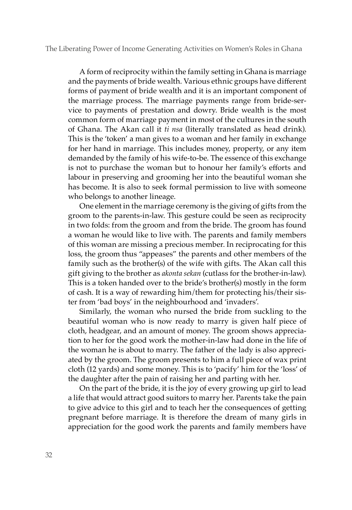The Liberating Power of Income Generating Activities on Women's Roles in Ghana

A form of reciprocity within the family setting in Ghana is marriage and the payments of bride wealth. Various ethnic groups have different forms of payment of bride wealth and it is an important component of the marriage process. The marriage payments range from bride-service to payments of prestation and dowry. Bride wealth is the most common form of marriage payment in most of the cultures in the south of Ghana. The Akan call it *ti nsa* (literally translated as head drink). This is the 'token' a man gives to a woman and her family in exchange for her hand in marriage. This includes money, property, or any item demanded by the family of his wife-to-be. The essence of this exchange is not to purchase the woman but to honour her family's efforts and labour in preserving and grooming her into the beautiful woman she has become. It is also to seek formal permission to live with someone who belongs to another lineage.

One element in the marriage ceremony is the giving of gifts from the groom to the parents-in-law. This gesture could be seen as reciprocity in two folds: from the groom and from the bride. The groom has found a woman he would like to live with. The parents and family members of this woman are missing a precious member. In reciprocating for this loss, the groom thus "appeases" the parents and other members of the family such as the brother(s) of the wife with gifts. The Akan call this gift giving to the brother as *akonta sekan* (cutlass for the brother-in-law). This is a token handed over to the bride's brother(s) mostly in the form of cash. It is a way of rewarding him/them for protecting his/their sister from 'bad boys' in the neighbourhood and 'invaders'.

Similarly, the woman who nursed the bride from suckling to the beautiful woman who is now ready to marry is given half piece of cloth, headgear, and an amount of money. The groom shows appreciation to her for the good work the mother-in-law had done in the life of the woman he is about to marry. The father of the lady is also appreciated by the groom. The groom presents to him a full piece of wax print cloth (12 yards) and some money. This is to 'pacify' him for the 'loss' of the daughter after the pain of raising her and parting with her.

On the part of the bride, it is the joy of every growing up girl to lead a life that would attract good suitors to marry her. Parents take the pain to give advice to this girl and to teach her the consequences of getting pregnant before marriage. It is therefore the dream of many girls in appreciation for the good work the parents and family members have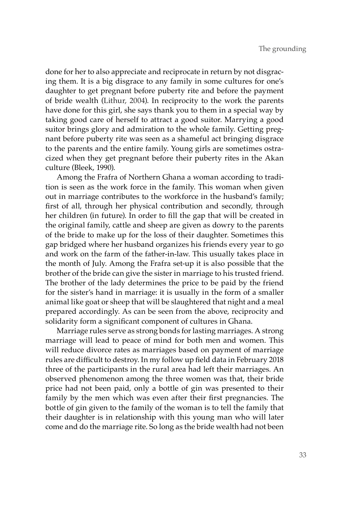done for her to also appreciate and reciprocate in return by not disgracing them. It is a big disgrace to any family in some cultures for one's daughter to get pregnant before puberty rite and before the payment of bride wealth (Lithur, 2004). In reciprocity to the work the parents have done for this girl, she says thank you to them in a special way by taking good care of herself to attract a good suitor. Marrying a good suitor brings glory and admiration to the whole family. Getting pregnant before puberty rite was seen as a shameful act bringing disgrace to the parents and the entire family. Young girls are sometimes ostracized when they get pregnant before their puberty rites in the Akan culture (Bleek, 1990).

Among the Frafra of Northern Ghana a woman according to tradition is seen as the work force in the family. This woman when given out in marriage contributes to the workforce in the husband's family; first of all, through her physical contribution and secondly, through her children (in future). In order to fill the gap that will be created in the original family, cattle and sheep are given as dowry to the parents of the bride to make up for the loss of their daughter. Sometimes this gap bridged where her husband organizes his friends every year to go and work on the farm of the father-in-law. This usually takes place in the month of July. Among the Frafra set-up it is also possible that the brother of the bride can give the sister in marriage to his trusted friend. The brother of the lady determines the price to be paid by the friend for the sister's hand in marriage: it is usually in the form of a smaller animal like goat or sheep that will be slaughtered that night and a meal prepared accordingly. As can be seen from the above, reciprocity and solidarity form a significant component of cultures in Ghana.

Marriage rules serve as strong bonds for lasting marriages. A strong marriage will lead to peace of mind for both men and women. This will reduce divorce rates as marriages based on payment of marriage rules are difficult to destroy. In my follow up field data in February 2018 three of the participants in the rural area had left their marriages. An observed phenomenon among the three women was that, their bride price had not been paid, only a bottle of gin was presented to their family by the men which was even after their first pregnancies. The bottle of gin given to the family of the woman is to tell the family that their daughter is in relationship with this young man who will later come and do the marriage rite. So long as the bride wealth had not been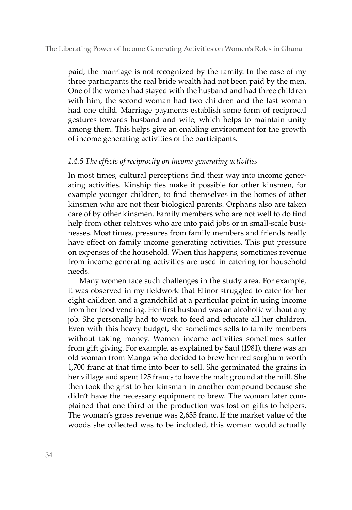paid, the marriage is not recognized by the family. In the case of my three participants the real bride wealth had not been paid by the men. One of the women had stayed with the husband and had three children with him, the second woman had two children and the last woman had one child. Marriage payments establish some form of reciprocal gestures towards husband and wife, which helps to maintain unity among them. This helps give an enabling environment for the growth of income generating activities of the participants.

## *1.4.5 The effects of reciprocity on income generating activities*

In most times, cultural perceptions find their way into income generating activities. Kinship ties make it possible for other kinsmen, for example younger children, to find themselves in the homes of other kinsmen who are not their biological parents. Orphans also are taken care of by other kinsmen. Family members who are not well to do find help from other relatives who are into paid jobs or in small-scale businesses. Most times, pressures from family members and friends really have effect on family income generating activities. This put pressure on expenses of the household. When this happens, sometimes revenue from income generating activities are used in catering for household needs.

Many women face such challenges in the study area. For example, it was observed in my fieldwork that Elinor struggled to cater for her eight children and a grandchild at a particular point in using income from her food vending. Her first husband was an alcoholic without any job. She personally had to work to feed and educate all her children. Even with this heavy budget, she sometimes sells to family members without taking money. Women income activities sometimes suffer from gift giving. For example, as explained by Saul (1981), there was an old woman from Manga who decided to brew her red sorghum worth 1,700 franc at that time into beer to sell. She germinated the grains in her village and spent 125 francs to have the malt ground at the mill. She then took the grist to her kinsman in another compound because she didn't have the necessary equipment to brew. The woman later complained that one third of the production was lost on gifts to helpers. The woman's gross revenue was 2,635 franc. If the market value of the woods she collected was to be included, this woman would actually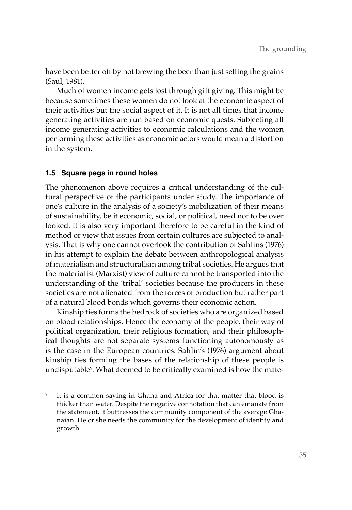have been better off by not brewing the beer than just selling the grains (Saul, 1981).

Much of women income gets lost through gift giving. This might be because sometimes these women do not look at the economic aspect of their activities but the social aspect of it. It is not all times that income generating activities are run based on economic quests. Subjecting all income generating activities to economic calculations and the women performing these activities as economic actors would mean a distortion in the system.

# **1.5 Square pegs in round holes**

The phenomenon above requires a critical understanding of the cultural perspective of the participants under study. The importance of one's culture in the analysis of a society's mobilization of their means of sustainability, be it economic, social, or political, need not to be over looked. It is also very important therefore to be careful in the kind of method or view that issues from certain cultures are subjected to analysis. That is why one cannot overlook the contribution of Sahlins (1976) in his attempt to explain the debate between anthropological analysis of materialism and structuralism among tribal societies. He argues that the materialist (Marxist) view of culture cannot be transported into the understanding of the 'tribal' societies because the producers in these societies are not alienated from the forces of production but rather part of a natural blood bonds which governs their economic action.

Kinship ties forms the bedrock of societies who are organized based on blood relationships. Hence the economy of the people, their way of political organization, their religious formation, and their philosophical thoughts are not separate systems functioning autonomously as is the case in the European countries. Sahlin's (1976) argument about kinship ties forming the bases of the relationship of these people is undisputable9 . What deemed to be critically examined is how the mate-

It is a common saying in Ghana and Africa for that matter that blood is thicker than water. Despite the negative connotation that can emanate from the statement, it buttresses the community component of the average Ghanaian. He or she needs the community for the development of identity and growth.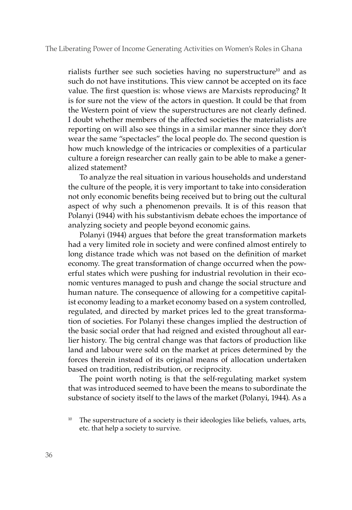rialists further see such societies having no superstructure $10$  and as such do not have institutions. This view cannot be accepted on its face value. The first question is: whose views are Marxists reproducing? It is for sure not the view of the actors in question. It could be that from the Western point of view the superstructures are not clearly defined. I doubt whether members of the affected societies the materialists are reporting on will also see things in a similar manner since they don't wear the same "spectacles" the local people do. The second question is how much knowledge of the intricacies or complexities of a particular culture a foreign researcher can really gain to be able to make a generalized statement?

To analyze the real situation in various households and understand the culture of the people, it is very important to take into consideration not only economic benefits being received but to bring out the cultural aspect of why such a phenomenon prevails. It is of this reason that Polanyi (1944) with his substantivism debate echoes the importance of analyzing society and people beyond economic gains.

Polanyi (1944) argues that before the great transformation markets had a very limited role in society and were confined almost entirely to long distance trade which was not based on the definition of market economy. The great transformation of change occurred when the powerful states which were pushing for industrial revolution in their economic ventures managed to push and change the social structure and human nature. The consequence of allowing for a competitive capitalist economy leading to a market economy based on a system controlled, regulated, and directed by market prices led to the great transformation of societies. For Polanyi these changes implied the destruction of the basic social order that had reigned and existed throughout all earlier history. The big central change was that factors of production like land and labour were sold on the market at prices determined by the forces therein instead of its original means of allocation undertaken based on tradition, redistribution, or reciprocity.

The point worth noting is that the self-regulating market system that was introduced seemed to have been the means to subordinate the substance of society itself to the laws of the market (Polanyi, 1944). As a

The superstructure of a society is their ideologies like beliefs, values, arts, etc. that help a society to survive.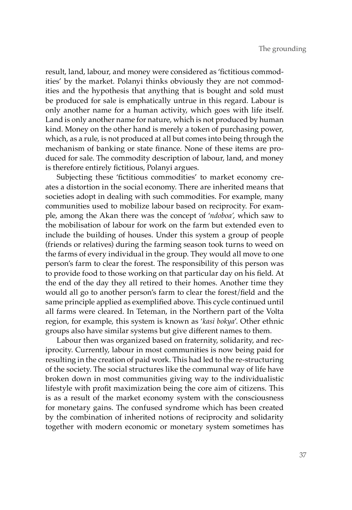result, land, labour, and money were considered as 'fictitious commodities' by the market. Polanyi thinks obviously they are not commodities and the hypothesis that anything that is bought and sold must be produced for sale is emphatically untrue in this regard. Labour is only another name for a human activity, which goes with life itself. Land is only another name for nature, which is not produced by human kind. Money on the other hand is merely a token of purchasing power, which, as a rule, is not produced at all but comes into being through the mechanism of banking or state finance. None of these items are produced for sale. The commodity description of labour, land, and money is therefore entirely fictitious, Polanyi argues.

Subjecting these 'fictitious commodities' to market economy creates a distortion in the social economy. There are inherited means that societies adopt in dealing with such commodities. For example, many communities used to mobilize labour based on reciprocity. For example, among the Akan there was the concept of '*ndoboa'*, which saw to the mobilisation of labour for work on the farm but extended even to include the building of houses. Under this system a group of people (friends or relatives) during the farming season took turns to weed on the farms of every individual in the group. They would all move to one person's farm to clear the forest. The responsibility of this person was to provide food to those working on that particular day on his field. At the end of the day they all retired to their homes. Another time they would all go to another person's farm to clear the forest/field and the same principle applied as exemplified above. This cycle continued until all farms were cleared. In Teteman, in the Northern part of the Volta region, for example, this system is known as '*kasi bokya*'. Other ethnic groups also have similar systems but give different names to them.

Labour then was organized based on fraternity, solidarity, and reciprocity. Currently, labour in most communities is now being paid for resulting in the creation of paid work. This had led to the re-structuring of the society. The social structures like the communal way of life have broken down in most communities giving way to the individualistic lifestyle with profit maximization being the core aim of citizens. This is as a result of the market economy system with the consciousness for monetary gains. The confused syndrome which has been created by the combination of inherited notions of reciprocity and solidarity together with modern economic or monetary system sometimes has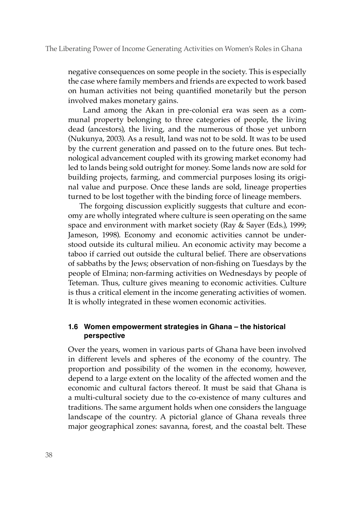negative consequences on some people in the society. This is especially the case where family members and friends are expected to work based on human activities not being quantified monetarily but the person involved makes monetary gains.

 Land among the Akan in pre-colonial era was seen as a communal property belonging to three categories of people, the living dead (ancestors), the living, and the numerous of those yet unborn (Nukunya, 2003). As a result, land was not to be sold. It was to be used by the current generation and passed on to the future ones. But technological advancement coupled with its growing market economy had led to lands being sold outright for money. Some lands now are sold for building projects, farming, and commercial purposes losing its original value and purpose. Once these lands are sold, lineage properties turned to be lost together with the binding force of lineage members.

The forgoing discussion explicitly suggests that culture and economy are wholly integrated where culture is seen operating on the same space and environment with market society (Ray & Sayer (Eds.), 1999; Jameson, 1998). Economy and economic activities cannot be understood outside its cultural milieu. An economic activity may become a taboo if carried out outside the cultural belief. There are observations of sabbaths by the Jews; observation of non-fishing on Tuesdays by the people of Elmina; non-farming activities on Wednesdays by people of Teteman. Thus, culture gives meaning to economic activities. Culture is thus a critical element in the income generating activities of women. It is wholly integrated in these women economic activities.

# **1.6 Women empowerment strategies in Ghana – the historical perspective**

Over the years, women in various parts of Ghana have been involved in different levels and spheres of the economy of the country. The proportion and possibility of the women in the economy, however, depend to a large extent on the locality of the affected women and the economic and cultural factors thereof. It must be said that Ghana is a multi-cultural society due to the co-existence of many cultures and traditions. The same argument holds when one considers the language landscape of the country. A pictorial glance of Ghana reveals three major geographical zones: savanna, forest, and the coastal belt. These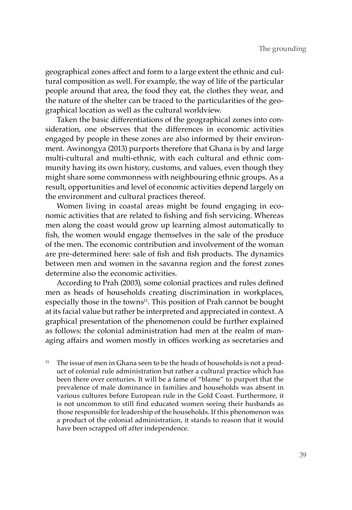geographical zones affect and form to a large extent the ethnic and cultural composition as well. For example, the way of life of the particular people around that area, the food they eat, the clothes they wear, and the nature of the shelter can be traced to the particularities of the geographical location as well as the cultural worldview.

Taken the basic differentiations of the geographical zones into consideration, one observes that the differences in economic activities engaged by people in these zones are also informed by their environment. Awinongya (2013) purports therefore that Ghana is by and large multi-cultural and multi-ethnic, with each cultural and ethnic community having its own history, customs, and values, even though they might share some commonness with neighbouring ethnic groups. As a result, opportunities and level of economic activities depend largely on the environment and cultural practices thereof.

Women living in coastal areas might be found engaging in economic activities that are related to fishing and fish servicing. Whereas men along the coast would grow up learning almost automatically to fish, the women would engage themselves in the sale of the produce of the men. The economic contribution and involvement of the woman are pre-determined here: sale of fish and fish products. The dynamics between men and women in the savanna region and the forest zones determine also the economic activities.

According to Prah (2003), some colonial practices and rules defined men as heads of households creating discrimination in workplaces, especially those in the towns<sup>11</sup>. This position of Prah cannot be bought at its facial value but rather be interpreted and appreciated in context. A graphical presentation of the phenomenon could be further explained as follows: the colonial administration had men at the realm of managing affairs and women mostly in offices working as secretaries and

The issue of men in Ghana seen to be the heads of households is not a product of colonial rule administration but rather a cultural practice which has been there over centuries. It will be a fame of "blame" to purport that the prevalence of male dominance in families and households was absent in various cultures before European rule in the Gold Coast. Furthermore, it is not uncommon to still find educated women seeing their husbands as those responsible for leadership of the households. If this phenomenon was a product of the colonial administration, it stands to reason that it would have been scrapped off after independence.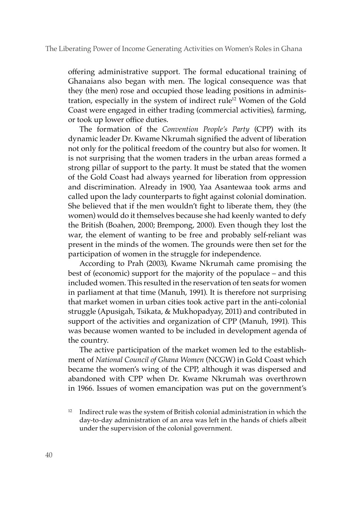offering administrative support. The formal educational training of Ghanaians also began with men. The logical consequence was that they (the men) rose and occupied those leading positions in administration, especially in the system of indirect rule<sup>12</sup> Women of the Gold Coast were engaged in either trading (commercial activities), farming, or took up lower office duties.

The formation of the *Convention People's Party* (CPP) with its dynamic leader Dr. Kwame Nkrumah signified the advent of liberation not only for the political freedom of the country but also for women. It is not surprising that the women traders in the urban areas formed a strong pillar of support to the party. It must be stated that the women of the Gold Coast had always yearned for liberation from oppression and discrimination. Already in 1900, Yaa Asantewaa took arms and called upon the lady counterparts to fight against colonial domination. She believed that if the men wouldn't fight to liberate them, they (the women) would do it themselves because she had keenly wanted to defy the British (Boahen, 2000; Brempong, 2000). Even though they lost the war, the element of wanting to be free and probably self-reliant was present in the minds of the women. The grounds were then set for the participation of women in the struggle for independence.

According to Prah (2003), Kwame Nkrumah came promising the best of (economic) support for the majority of the populace – and this included women. This resulted in the reservation of ten seats for women in parliament at that time (Manuh, 1991). It is therefore not surprising that market women in urban cities took active part in the anti-colonial struggle (Apusigah, Tsikata, & Mukhopadyay, 2011) and contributed in support of the activities and organization of CPP (Manuh, 1991). This was because women wanted to be included in development agenda of the country.

The active participation of the market women led to the establishment of *National Council of Ghana Women* (NCGW) in Gold Coast which became the women's wing of the CPP, although it was dispersed and abandoned with CPP when Dr. Kwame Nkrumah was overthrown in 1966. Issues of women emancipation was put on the government's

<sup>12</sup> Indirect rule was the system of British colonial administration in which the day-to-day administration of an area was left in the hands of chiefs albeit under the supervision of the colonial government.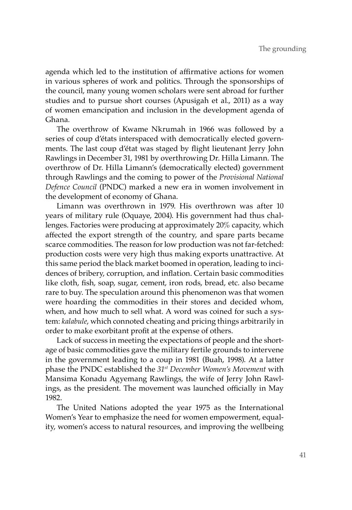agenda which led to the institution of affirmative actions for women in various spheres of work and politics. Through the sponsorships of the council, many young women scholars were sent abroad for further studies and to pursue short courses (Apusigah et al., 2011) as a way of women emancipation and inclusion in the development agenda of Ghana.

The overthrow of Kwame Nkrumah in 1966 was followed by a series of coup d'états interspaced with democratically elected governments. The last coup d'état was staged by flight lieutenant Jerry John Rawlings in December 31, 1981 by overthrowing Dr. Hilla Limann. The overthrow of Dr. Hilla Limann's (democratically elected) government through Rawlings and the coming to power of the *Provisional National Defence Council* (PNDC) marked a new era in women involvement in the development of economy of Ghana.

Limann was overthrown in 1979. His overthrown was after 10 years of military rule (Oquaye, 2004). His government had thus challenges. Factories were producing at approximately 20% capacity, which affected the export strength of the country, and spare parts became scarce commodities. The reason for low production was not far-fetched: production costs were very high thus making exports unattractive. At this same period the black market boomed in operation, leading to incidences of bribery, corruption, and inflation. Certain basic commodities like cloth, fish, soap, sugar, cement, iron rods, bread, etc. also became rare to buy. The speculation around this phenomenon was that women were hoarding the commodities in their stores and decided whom, when, and how much to sell what. A word was coined for such a system: *kalabule*, which connoted cheating and pricing things arbitrarily in order to make exorbitant profit at the expense of others.

Lack of success in meeting the expectations of people and the shortage of basic commodities gave the military fertile grounds to intervene in the government leading to a coup in 1981 (Buah, 1998). At a latter phase the PNDC established the *31st December Women's Movement* with Mansima Konadu Agyemang Rawlings, the wife of Jerry John Rawlings, as the president. The movement was launched officially in May 1982.

The United Nations adopted the year 1975 as the International Women's Year to emphasize the need for women empowerment, equality, women's access to natural resources, and improving the wellbeing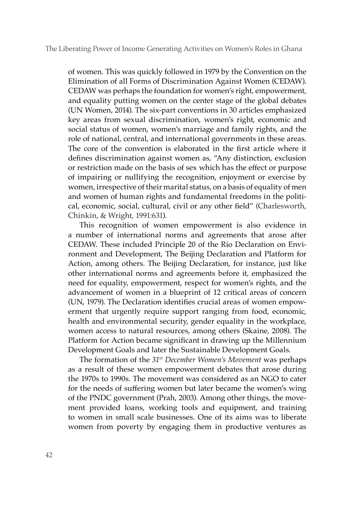#### The Liberating Power of Income Generating Activities on Women's Roles in Ghana

of women. This was quickly followed in 1979 by the Convention on the Elimination of all Forms of Discrimination Against Women (CEDAW). CEDAW was perhaps the foundation for women's right, empowerment, and equality putting women on the center stage of the global debates (UN Women, 2014). The six-part conventions in 30 articles emphasized key areas from sexual discrimination, women's right, economic and social status of women, women's marriage and family rights, and the role of national, central, and international governments in these areas. The core of the convention is elaborated in the first article where it defines discrimination against women as, "Any distinction, exclusion or restriction made on the basis of sex which has the effect or purpose of impairing or nullifying the recognition, enjoyment or exercise by women, irrespective of their marital status, on a basis of equality of men and women of human rights and fundamental freedoms in the political, economic, social, cultural, civil or any other field" (Charlesworth, Chinkin, & Wright, 1991:631).

This recognition of women empowerment is also evidence in a number of international norms and agreements that arose after CEDAW. These included Principle 20 of the Rio Declaration on Environment and Development, The Beijing Declaration and Platform for Action, among others. The Beijing Declaration, for instance, just like other international norms and agreements before it, emphasized the need for equality, empowerment, respect for women's rights, and the advancement of women in a blueprint of 12 critical areas of concern (UN, 1979). The Declaration identifies crucial areas of women empowerment that urgently require support ranging from food, economic, health and environmental security, gender equality in the workplace, women access to natural resources, among others (Skaine, 2008). The Platform for Action became significant in drawing up the Millennium Development Goals and later the Sustainable Development Goals.

The formation of the *31st December Women's Movement* was perhaps as a result of these women empowerment debates that arose during the 1970s to 1990s. The movement was considered as an NGO to cater for the needs of suffering women but later became the women's wing of the PNDC government (Prah, 2003). Among other things, the movement provided loans, working tools and equipment, and training to women in small scale businesses. One of its aims was to liberate women from poverty by engaging them in productive ventures as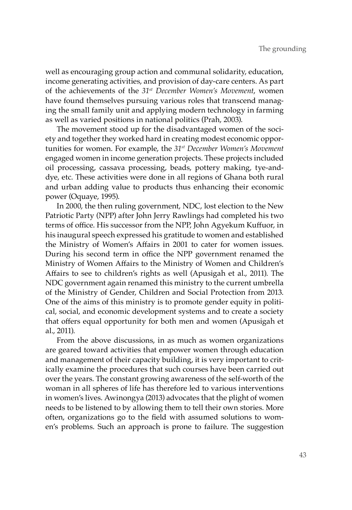well as encouraging group action and communal solidarity, education, income generating activities, and provision of day-care centers. As part of the achievements of the *31st December Women's Movement*, women have found themselves pursuing various roles that transcend managing the small family unit and applying modern technology in farming as well as varied positions in national politics (Prah, 2003).

The movement stood up for the disadvantaged women of the society and together they worked hard in creating modest economic opportunities for women. For example, the *31st December Women's Movement* engaged women in income generation projects. These projects included oil processing, cassava processing, beads, pottery making, tye-anddye, etc. These activities were done in all regions of Ghana both rural and urban adding value to products thus enhancing their economic power (Oquaye, 1995).

In 2000, the then ruling government, NDC, lost election to the New Patriotic Party (NPP) after John Jerry Rawlings had completed his two terms of office. His successor from the NPP, John Agyekum Kuffuor, in his inaugural speech expressed his gratitude to women and established the Ministry of Women's Affairs in 2001 to cater for women issues. During his second term in office the NPP government renamed the Ministry of Women Affairs to the Ministry of Women and Children's Affairs to see to children's rights as well (Apusigah et al., 2011). The NDC government again renamed this ministry to the current umbrella of the Ministry of Gender, Children and Social Protection from 2013. One of the aims of this ministry is to promote gender equity in political, social, and economic development systems and to create a society that offers equal opportunity for both men and women (Apusigah et al., 2011).

From the above discussions, in as much as women organizations are geared toward activities that empower women through education and management of their capacity building, it is very important to critically examine the procedures that such courses have been carried out over the years. The constant growing awareness of the self-worth of the woman in all spheres of life has therefore led to various interventions in women's lives. Awinongya (2013) advocates that the plight of women needs to be listened to by allowing them to tell their own stories. More often, organizations go to the field with assumed solutions to women's problems. Such an approach is prone to failure. The suggestion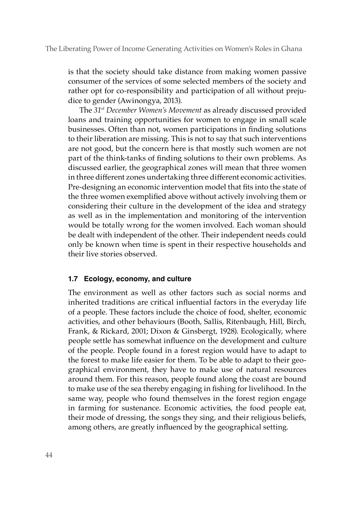The Liberating Power of Income Generating Activities on Women's Roles in Ghana

is that the society should take distance from making women passive consumer of the services of some selected members of the society and rather opt for co-responsibility and participation of all without prejudice to gender (Awinongya, 2013).

The *31st December Women's Movement* as already discussed provided loans and training opportunities for women to engage in small scale businesses. Often than not, women participations in finding solutions to their liberation are missing. This is not to say that such interventions are not good, but the concern here is that mostly such women are not part of the think-tanks of finding solutions to their own problems. As discussed earlier, the geographical zones will mean that three women in three different zones undertaking three different economic activities. Pre-designing an economic intervention model that fits into the state of the three women exemplified above without actively involving them or considering their culture in the development of the idea and strategy as well as in the implementation and monitoring of the intervention would be totally wrong for the women involved. Each woman should be dealt with independent of the other. Their independent needs could only be known when time is spent in their respective households and their live stories observed.

#### **1.7 Ecology, economy, and culture**

The environment as well as other factors such as social norms and inherited traditions are critical influential factors in the everyday life of a people. These factors include the choice of food, shelter, economic activities, and other behaviours (Booth, Sallis, Ritenbaugh, Hill, Birch, Frank, & Rickard, 2001; Dixon & Ginsbergt, 1928). Ecologically, where people settle has somewhat influence on the development and culture of the people. People found in a forest region would have to adapt to the forest to make life easier for them. To be able to adapt to their geographical environment, they have to make use of natural resources around them. For this reason, people found along the coast are bound to make use of the sea thereby engaging in fishing for livelihood. In the same way, people who found themselves in the forest region engage in farming for sustenance. Economic activities, the food people eat, their mode of dressing, the songs they sing, and their religious beliefs, among others, are greatly influenced by the geographical setting.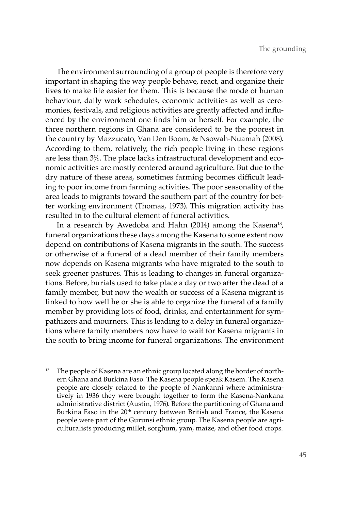The environment surrounding of a group of people is therefore very important in shaping the way people behave, react, and organize their lives to make life easier for them. This is because the mode of human behaviour, daily work schedules, economic activities as well as ceremonies, festivals, and religious activities are greatly affected and influenced by the environment one finds him or herself. For example, the three northern regions in Ghana are considered to be the poorest in the country by Mazzucato, Van Den Boom, & Nsowah-Nuamah (2008). According to them, relatively, the rich people living in these regions are less than 3%. The place lacks infrastructural development and economic activities are mostly centered around agriculture. But due to the dry nature of these areas, sometimes farming becomes difficult leading to poor income from farming activities. The poor seasonality of the area leads to migrants toward the southern part of the country for better working environment (Thomas, 1973). This migration activity has resulted in to the cultural element of funeral activities.

In a research by Awedoba and Hahn (2014) among the Kasena<sup>13</sup>, funeral organizations these days among the Kasena to some extent now depend on contributions of Kasena migrants in the south. The success or otherwise of a funeral of a dead member of their family members now depends on Kasena migrants who have migrated to the south to seek greener pastures. This is leading to changes in funeral organizations. Before, burials used to take place a day or two after the dead of a family member, but now the wealth or success of a Kasena migrant is linked to how well he or she is able to organize the funeral of a family member by providing lots of food, drinks, and entertainment for sympathizers and mourners. This is leading to a delay in funeral organizations where family members now have to wait for Kasena migrants in the south to bring income for funeral organizations. The environment

 $13$  The people of Kasena are an ethnic group located along the border of northern Ghana and Burkina Faso. The Kasena people speak Kasem. The Kasena people are closely related to the people of Nankanni where administratively in 1936 they were brought together to form the Kasena-Nankana administrative district (Austin, 1976). Before the partitioning of Ghana and Burkina Faso in the 20<sup>th</sup> century between British and France, the Kasena people were part of the Gurunsi ethnic group. The Kasena people are agriculturalists producing millet, sorghum, yam, maize, and other food crops.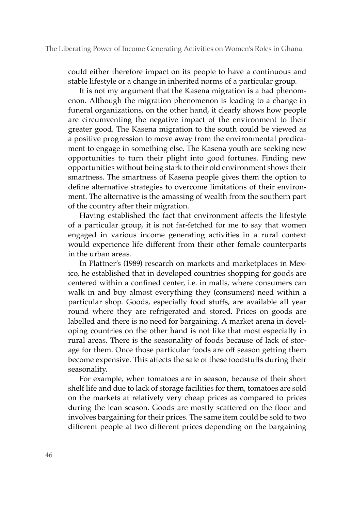could either therefore impact on its people to have a continuous and stable lifestyle or a change in inherited norms of a particular group.

It is not my argument that the Kasena migration is a bad phenomenon. Although the migration phenomenon is leading to a change in funeral organizations, on the other hand, it clearly shows how people are circumventing the negative impact of the environment to their greater good. The Kasena migration to the south could be viewed as a positive progression to move away from the environmental predicament to engage in something else. The Kasena youth are seeking new opportunities to turn their plight into good fortunes. Finding new opportunities without being stark to their old environment shows their smartness. The smartness of Kasena people gives them the option to define alternative strategies to overcome limitations of their environment. The alternative is the amassing of wealth from the southern part of the country after their migration.

Having established the fact that environment affects the lifestyle of a particular group, it is not far-fetched for me to say that women engaged in various income generating activities in a rural context would experience life different from their other female counterparts in the urban areas.

In Plattner's (1989) research on markets and marketplaces in Mexico, he established that in developed countries shopping for goods are centered within a confined center, i.e. in malls, where consumers can walk in and buy almost everything they (consumers) need within a particular shop. Goods, especially food stuffs, are available all year round where they are refrigerated and stored. Prices on goods are labelled and there is no need for bargaining. A market arena in developing countries on the other hand is not like that most especially in rural areas. There is the seasonality of foods because of lack of storage for them. Once those particular foods are off season getting them become expensive. This affects the sale of these foodstuffs during their seasonality.

For example, when tomatoes are in season, because of their short shelf life and due to lack of storage facilities for them, tomatoes are sold on the markets at relatively very cheap prices as compared to prices during the lean season. Goods are mostly scattered on the floor and involves bargaining for their prices. The same item could be sold to two different people at two different prices depending on the bargaining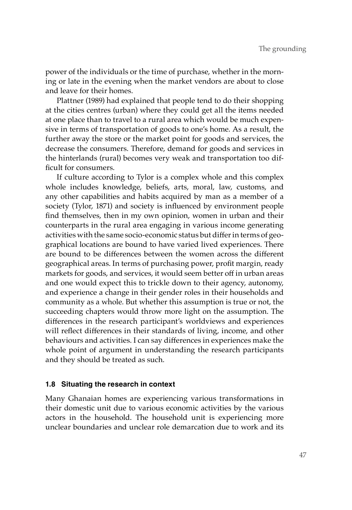power of the individuals or the time of purchase, whether in the morning or late in the evening when the market vendors are about to close and leave for their homes.

Plattner (1989) had explained that people tend to do their shopping at the cities centres (urban) where they could get all the items needed at one place than to travel to a rural area which would be much expensive in terms of transportation of goods to one's home. As a result, the further away the store or the market point for goods and services, the decrease the consumers. Therefore, demand for goods and services in the hinterlands (rural) becomes very weak and transportation too difficult for consumers.

If culture according to Tylor is a complex whole and this complex whole includes knowledge, beliefs, arts, moral, law, customs, and any other capabilities and habits acquired by man as a member of a society (Tylor, 1871) and society is influenced by environment people find themselves, then in my own opinion, women in urban and their counterparts in the rural area engaging in various income generating activities with the same socio-economic status but differ in terms of geographical locations are bound to have varied lived experiences. There are bound to be differences between the women across the different geographical areas. In terms of purchasing power, profit margin, ready markets for goods, and services, it would seem better off in urban areas and one would expect this to trickle down to their agency, autonomy, and experience a change in their gender roles in their households and community as a whole. But whether this assumption is true or not, the succeeding chapters would throw more light on the assumption. The differences in the research participant's worldviews and experiences will reflect differences in their standards of living, income, and other behaviours and activities. I can say differences in experiences make the whole point of argument in understanding the research participants and they should be treated as such.

## **1.8 Situating the research in context**

Many Ghanaian homes are experiencing various transformations in their domestic unit due to various economic activities by the various actors in the household. The household unit is experiencing more unclear boundaries and unclear role demarcation due to work and its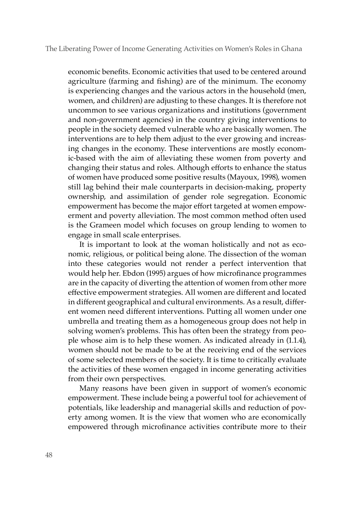economic benefits. Economic activities that used to be centered around agriculture (farming and fishing) are of the minimum. The economy is experiencing changes and the various actors in the household (men, women, and children) are adjusting to these changes. It is therefore not uncommon to see various organizations and institutions (government and non-government agencies) in the country giving interventions to people in the society deemed vulnerable who are basically women. The interventions are to help them adjust to the ever growing and increasing changes in the economy. These interventions are mostly economic-based with the aim of alleviating these women from poverty and changing their status and roles. Although efforts to enhance the status of women have produced some positive results (Mayoux, 1998), women still lag behind their male counterparts in decision-making, property ownership, and assimilation of gender role segregation. Economic empowerment has become the major effort targeted at women empowerment and poverty alleviation. The most common method often used is the Grameen model which focuses on group lending to women to engage in small scale enterprises.

It is important to look at the woman holistically and not as economic, religious, or political being alone. The dissection of the woman into these categories would not render a perfect intervention that would help her. Ebdon (1995) argues of how microfinance programmes are in the capacity of diverting the attention of women from other more effective empowerment strategies. All women are different and located in different geographical and cultural environments. As a result, different women need different interventions. Putting all women under one umbrella and treating them as a homogeneous group does not help in solving women's problems. This has often been the strategy from people whose aim is to help these women. As indicated already in (1.1.4), women should not be made to be at the receiving end of the services of some selected members of the society. It is time to critically evaluate the activities of these women engaged in income generating activities from their own perspectives.

Many reasons have been given in support of women's economic empowerment. These include being a powerful tool for achievement of potentials, like leadership and managerial skills and reduction of poverty among women. It is the view that women who are economically empowered through microfinance activities contribute more to their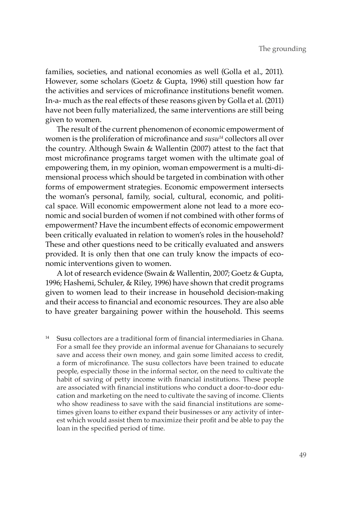families, societies, and national economies as well (Golla et al., 2011). However, some scholars (Goetz & Gupta, 1996) still question how far the activities and services of microfinance institutions benefit women. In-a- much as the real effects of these reasons given by Golla et al. (2011) have not been fully materialized, the same interventions are still being given to women.

The result of the current phenomenon of economic empowerment of women is the proliferation of microfinance and  $susu^{14}$  collectors all over the country. Although Swain & Wallentin (2007) attest to the fact that most microfinance programs target women with the ultimate goal of empowering them, in my opinion, woman empowerment is a multi-dimensional process which should be targeted in combination with other forms of empowerment strategies. Economic empowerment intersects the woman's personal, family, social, cultural, economic, and political space. Will economic empowerment alone not lead to a more economic and social burden of women if not combined with other forms of empowerment? Have the incumbent effects of economic empowerment been critically evaluated in relation to women's roles in the household? These and other questions need to be critically evaluated and answers provided. It is only then that one can truly know the impacts of economic interventions given to women.

A lot of research evidence (Swain & Wallentin, 2007; Goetz & Gupta, 1996; Hashemi, Schuler, & Riley, 1996) have shown that credit programs given to women lead to their increase in household decision-making and their access to financial and economic resources. They are also able to have greater bargaining power within the household. This seems

<sup>14</sup> Susu collectors are a traditional form of financial intermediaries in Ghana. For a small fee they provide an informal avenue for Ghanaians to securely save and access their own money, and gain some limited access to credit, a form of microfinance. The susu collectors have been trained to educate people, especially those in the informal sector, on the need to cultivate the habit of saving of petty income with financial institutions. These people are associated with financial institutions who conduct a door-to-door education and marketing on the need to cultivate the saving of income. Clients who show readiness to save with the said financial institutions are sometimes given loans to either expand their businesses or any activity of interest which would assist them to maximize their profit and be able to pay the loan in the specified period of time.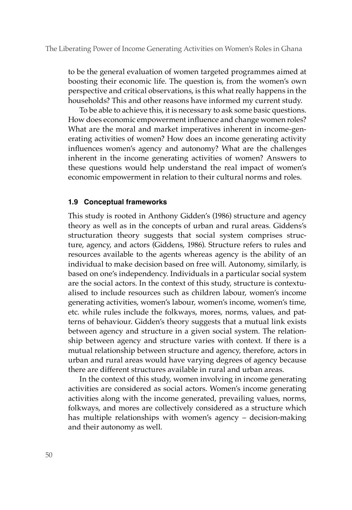to be the general evaluation of women targeted programmes aimed at boosting their economic life. The question is, from the women's own perspective and critical observations, is this what really happens in the households? This and other reasons have informed my current study.

To be able to achieve this, it is necessary to ask some basic questions. How does economic empowerment influence and change women roles? What are the moral and market imperatives inherent in income-generating activities of women? How does an income generating activity influences women's agency and autonomy? What are the challenges inherent in the income generating activities of women? Answers to these questions would help understand the real impact of women's economic empowerment in relation to their cultural norms and roles.

## **1.9 Conceptual frameworks**

This study is rooted in Anthony Gidden's (1986) structure and agency theory as well as in the concepts of urban and rural areas. Giddens's structuration theory suggests that social system comprises structure, agency, and actors (Giddens, 1986). Structure refers to rules and resources available to the agents whereas agency is the ability of an individual to make decision based on free will. Autonomy, similarly, is based on one's independency. Individuals in a particular social system are the social actors. In the context of this study, structure is contextualised to include resources such as children labour, women's income generating activities, women's labour, women's income, women's time, etc. while rules include the folkways, mores, norms, values, and patterns of behaviour. Gidden's theory suggests that a mutual link exists between agency and structure in a given social system. The relationship between agency and structure varies with context. If there is a mutual relationship between structure and agency, therefore, actors in urban and rural areas would have varying degrees of agency because there are different structures available in rural and urban areas.

In the context of this study, women involving in income generating activities are considered as social actors. Women's income generating activities along with the income generated, prevailing values, norms, folkways, and mores are collectively considered as a structure which has multiple relationships with women's agency – decision-making and their autonomy as well.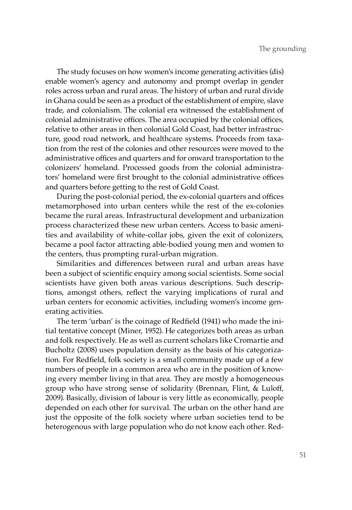The study focuses on how women's income generating activities (dis) enable women's agency and autonomy and prompt overlap in gender roles across urban and rural areas. The history of urban and rural divide in Ghana could be seen as a product of the establishment of empire, slave trade, and colonialism. The colonial era witnessed the establishment of colonial administrative offices. The area occupied by the colonial offices, relative to other areas in then colonial Gold Coast, had better infrastructure, good road network, and healthcare systems. Proceeds from taxation from the rest of the colonies and other resources were moved to the administrative offices and quarters and for onward transportation to the colonizers' homeland. Processed goods from the colonial administrators' homeland were first brought to the colonial administrative offices and quarters before getting to the rest of Gold Coast.

During the post-colonial period, the ex-colonial quarters and offices metamorphosed into urban centers while the rest of the ex-colonies became the rural areas. Infrastructural development and urbanization process characterized these new urban centers. Access to basic amenities and availability of white-collar jobs, given the exit of colonizers, became a pool factor attracting able-bodied young men and women to the centers, thus prompting rural-urban migration.

Similarities and differences between rural and urban areas have been a subject of scientific enquiry among social scientists. Some social scientists have given both areas various descriptions. Such descriptions, amongst others, reflect the varying implications of rural and urban centers for economic activities, including women's income generating activities.

The term 'urban' is the coinage of Redfield (1941) who made the initial tentative concept (Miner, 1952). He categorizes both areas as urban and folk respectively. He as well as current scholars like Cromartie and Bucholtz (2008) uses population density as the basis of his categorization. For Redfield, folk society is a small community made up of a few numbers of people in a common area who are in the position of knowing every member living in that area. They are mostly a homogeneous group who have strong sense of solidarity (Brennan, Flint, & Luloff, 2009). Basically, division of labour is very little as economically, people depended on each other for survival. The urban on the other hand are just the opposite of the folk society where urban societies tend to be heterogenous with large population who do not know each other. Red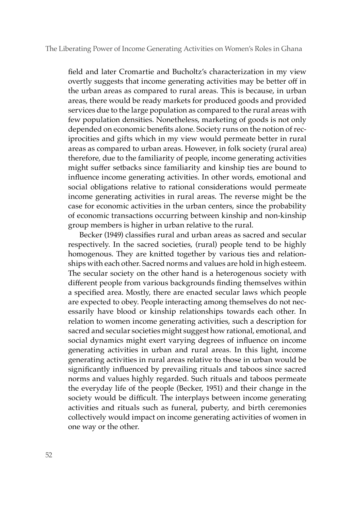field and later Cromartie and Bucholtz's characterization in my view overtly suggests that income generating activities may be better off in the urban areas as compared to rural areas. This is because, in urban areas, there would be ready markets for produced goods and provided services due to the large population as compared to the rural areas with few population densities. Nonetheless, marketing of goods is not only depended on economic benefits alone. Society runs on the notion of reciprocities and gifts which in my view would permeate better in rural areas as compared to urban areas. However, in folk society (rural area) therefore, due to the familiarity of people, income generating activities might suffer setbacks since familiarity and kinship ties are bound to influence income generating activities. In other words, emotional and social obligations relative to rational considerations would permeate income generating activities in rural areas. The reverse might be the case for economic activities in the urban centers, since the probability of economic transactions occurring between kinship and non-kinship group members is higher in urban relative to the rural.

Becker (1949) classifies rural and urban areas as sacred and secular respectively. In the sacred societies, (rural) people tend to be highly homogenous. They are knitted together by various ties and relationships with each other. Sacred norms and values are hold in high esteem. The secular society on the other hand is a heterogenous society with different people from various backgrounds finding themselves within a specified area. Mostly, there are enacted secular laws which people are expected to obey. People interacting among themselves do not necessarily have blood or kinship relationships towards each other. In relation to women income generating activities, such a description for sacred and secular societies might suggest how rational, emotional, and social dynamics might exert varying degrees of influence on income generating activities in urban and rural areas. In this light, income generating activities in rural areas relative to those in urban would be significantly influenced by prevailing rituals and taboos since sacred norms and values highly regarded. Such rituals and taboos permeate the everyday life of the people (Becker, 1951) and their change in the society would be difficult. The interplays between income generating activities and rituals such as funeral, puberty, and birth ceremonies collectively would impact on income generating activities of women in one way or the other.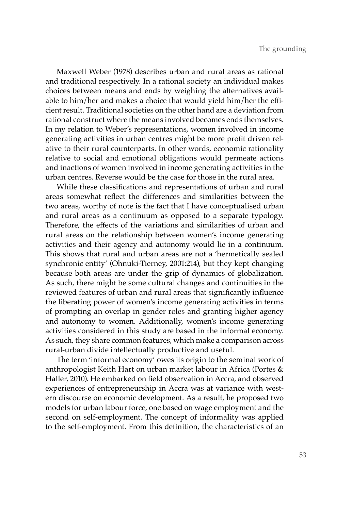Maxwell Weber (1978) describes urban and rural areas as rational and traditional respectively. In a rational society an individual makes choices between means and ends by weighing the alternatives available to him/her and makes a choice that would yield him/her the efficient result. Traditional societies on the other hand are a deviation from rational construct where the means involved becomes ends themselves. In my relation to Weber's representations, women involved in income generating activities in urban centres might be more profit driven relative to their rural counterparts. In other words, economic rationality relative to social and emotional obligations would permeate actions and inactions of women involved in income generating activities in the urban centres. Reverse would be the case for those in the rural area.

While these classifications and representations of urban and rural areas somewhat reflect the differences and similarities between the two areas, worthy of note is the fact that I have conceptualised urban and rural areas as a continuum as opposed to a separate typology. Therefore, the effects of the variations and similarities of urban and rural areas on the relationship between women's income generating activities and their agency and autonomy would lie in a continuum. This shows that rural and urban areas are not a 'hermetically sealed synchronic entity' (Ohnuki-Tierney, 2001:214), but they kept changing because both areas are under the grip of dynamics of globalization. As such, there might be some cultural changes and continuities in the reviewed features of urban and rural areas that significantly influence the liberating power of women's income generating activities in terms of prompting an overlap in gender roles and granting higher agency and autonomy to women. Additionally, women's income generating activities considered in this study are based in the informal economy. As such, they share common features, which make a comparison across rural-urban divide intellectually productive and useful.

The term 'informal economy' owes its origin to the seminal work of anthropologist Keith Hart on urban market labour in Africa (Portes & Haller, 2010). He embarked on field observation in Accra, and observed experiences of entrepreneurship in Accra was at variance with western discourse on economic development. As a result, he proposed two models for urban labour force, one based on wage employment and the second on self-employment. The concept of informality was applied to the self-employment. From this definition, the characteristics of an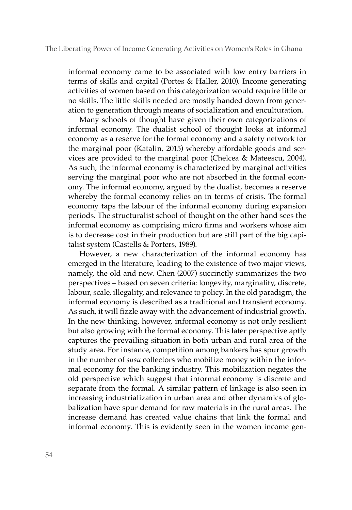informal economy came to be associated with low entry barriers in terms of skills and capital (Portes & Haller, 2010). Income generating activities of women based on this categorization would require little or no skills. The little skills needed are mostly handed down from generation to generation through means of socialization and enculturation.

Many schools of thought have given their own categorizations of informal economy. The dualist school of thought looks at informal economy as a reserve for the formal economy and a safety network for the marginal poor (Katalin, 2015) whereby affordable goods and services are provided to the marginal poor (Chelcea & Mateescu, 2004). As such, the informal economy is characterized by marginal activities serving the marginal poor who are not absorbed in the formal economy. The informal economy, argued by the dualist, becomes a reserve whereby the formal economy relies on in terms of crisis. The formal economy taps the labour of the informal economy during expansion periods. The structuralist school of thought on the other hand sees the informal economy as comprising micro firms and workers whose aim is to decrease cost in their production but are still part of the big capitalist system (Castells & Porters, 1989).

However, a new characterization of the informal economy has emerged in the literature, leading to the existence of two major views, namely, the old and new. Chen (2007) succinctly summarizes the two perspectives – based on seven criteria: longevity, marginality, discrete, labour, scale, illegality, and relevance to policy. In the old paradigm, the informal economy is described as a traditional and transient economy. As such, it will fizzle away with the advancement of industrial growth. In the new thinking, however, informal economy is not only resilient but also growing with the formal economy. This later perspective aptly captures the prevailing situation in both urban and rural area of the study area. For instance, competition among bankers has spur growth in the number of *susu* collectors who mobilize money within the informal economy for the banking industry. This mobilization negates the old perspective which suggest that informal economy is discrete and separate from the formal. A similar pattern of linkage is also seen in increasing industrialization in urban area and other dynamics of globalization have spur demand for raw materials in the rural areas. The increase demand has created value chains that link the formal and informal economy. This is evidently seen in the women income gen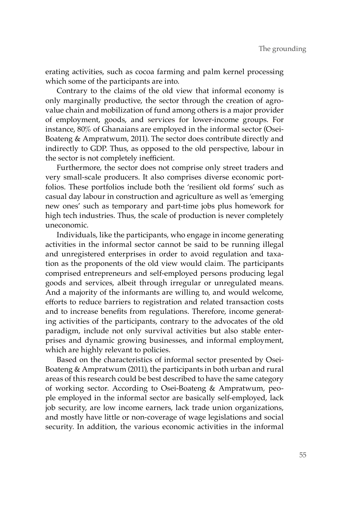erating activities, such as cocoa farming and palm kernel processing which some of the participants are into.

Contrary to the claims of the old view that informal economy is only marginally productive, the sector through the creation of agrovalue chain and mobilization of fund among others is a major provider of employment, goods, and services for lower-income groups. For instance, 80% of Ghanaians are employed in the informal sector (Osei-Boateng & Ampratwum, 2011). The sector does contribute directly and indirectly to GDP. Thus, as opposed to the old perspective, labour in the sector is not completely inefficient.

Furthermore, the sector does not comprise only street traders and very small-scale producers. It also comprises diverse economic portfolios. These portfolios include both the 'resilient old forms' such as casual day labour in construction and agriculture as well as 'emerging new ones' such as temporary and part-time jobs plus homework for high tech industries. Thus, the scale of production is never completely uneconomic.

Individuals, like the participants, who engage in income generating activities in the informal sector cannot be said to be running illegal and unregistered enterprises in order to avoid regulation and taxation as the proponents of the old view would claim. The participants comprised entrepreneurs and self-employed persons producing legal goods and services, albeit through irregular or unregulated means. And a majority of the informants are willing to, and would welcome, efforts to reduce barriers to registration and related transaction costs and to increase benefits from regulations. Therefore, income generating activities of the participants, contrary to the advocates of the old paradigm, include not only survival activities but also stable enterprises and dynamic growing businesses, and informal employment, which are highly relevant to policies.

Based on the characteristics of informal sector presented by Osei-Boateng & Ampratwum (2011), the participants in both urban and rural areas of this research could be best described to have the same category of working sector. According to Osei-Boateng & Ampratwum, people employed in the informal sector are basically self-employed, lack job security, are low income earners, lack trade union organizations, and mostly have little or non-coverage of wage legislations and social security. In addition, the various economic activities in the informal